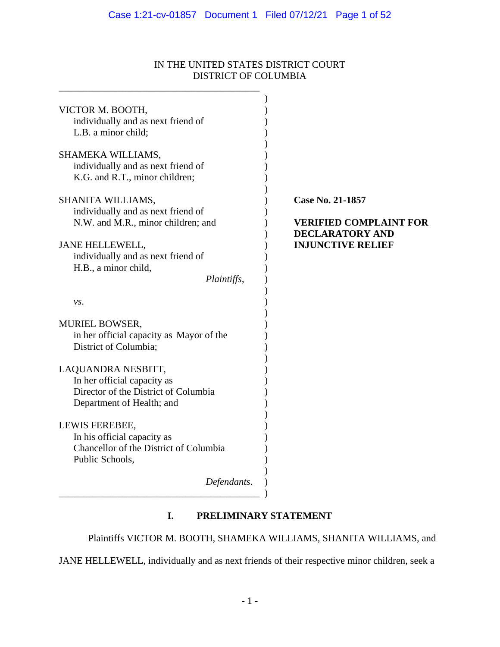# IN THE UNITED STATES DISTRICT COURT DISTRICT OF COLUMBIA

| VICTOR M. BOOTH,                                                  |                               |
|-------------------------------------------------------------------|-------------------------------|
| individually and as next friend of                                |                               |
| L.B. a minor child;                                               |                               |
|                                                                   |                               |
| SHAMEKA WILLIAMS,                                                 |                               |
| individually and as next friend of                                |                               |
| K.G. and R.T., minor children;                                    |                               |
|                                                                   |                               |
| SHANITA WILLIAMS,                                                 | Case No. 21-1857              |
| individually and as next friend of                                |                               |
| N.W. and M.R., minor children; and                                | <b>VERIFIED COMPLAINT FOR</b> |
|                                                                   | <b>DECLARATORY AND</b>        |
| JANE HELLEWELL,                                                   | <b>INJUNCTIVE RELIEF</b>      |
| individually and as next friend of                                |                               |
| H.B., a minor child,                                              |                               |
| Plaintiffs,                                                       |                               |
|                                                                   |                               |
| vs.                                                               |                               |
|                                                                   |                               |
| <b>MURIEL BOWSER,</b><br>in her official capacity as Mayor of the |                               |
| District of Columbia;                                             |                               |
|                                                                   |                               |
| LAQUANDRA NESBITT,                                                |                               |
| In her official capacity as                                       |                               |
| Director of the District of Columbia                              |                               |
| Department of Health; and                                         |                               |
|                                                                   |                               |
| LEWIS FEREBEE,                                                    |                               |
| In his official capacity as                                       |                               |
| Chancellor of the District of Columbia                            |                               |
| Public Schools,                                                   |                               |
|                                                                   |                               |
| Defendants.                                                       |                               |
|                                                                   |                               |
|                                                                   |                               |

# **I. PRELIMINARY STATEMENT**

Plaintiffs VICTOR M. BOOTH, SHAMEKA WILLIAMS, SHANITA WILLIAMS, and

JANE HELLEWELL, individually and as next friends of their respective minor children, seek a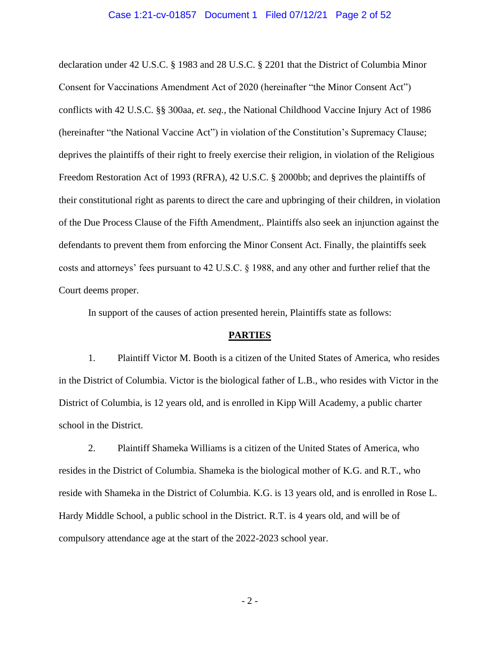#### Case 1:21-cv-01857 Document 1 Filed 07/12/21 Page 2 of 52

declaration under 42 U.S.C. § 1983 and 28 U.S.C. § 2201 that the District of Columbia Minor Consent for Vaccinations Amendment Act of 2020 (hereinafter "the Minor Consent Act") conflicts with 42 U.S.C. §§ 300aa, *et. seq.*, the National Childhood Vaccine Injury Act of 1986 (hereinafter "the National Vaccine Act") in violation of the Constitution's Supremacy Clause; deprives the plaintiffs of their right to freely exercise their religion, in violation of the Religious Freedom Restoration Act of 1993 (RFRA), 42 U.S.C. § 2000bb; and deprives the plaintiffs of their constitutional right as parents to direct the care and upbringing of their children, in violation of the Due Process Clause of the Fifth Amendment,. Plaintiffs also seek an injunction against the defendants to prevent them from enforcing the Minor Consent Act. Finally, the plaintiffs seek costs and attorneys' fees pursuant to 42 U.S.C. § 1988, and any other and further relief that the Court deems proper.

In support of the causes of action presented herein, Plaintiffs state as follows:

#### **PARTIES**

1. Plaintiff Victor M. Booth is a citizen of the United States of America, who resides in the District of Columbia. Victor is the biological father of L.B., who resides with Victor in the District of Columbia, is 12 years old, and is enrolled in Kipp Will Academy, a public charter school in the District.

2. Plaintiff Shameka Williams is a citizen of the United States of America, who resides in the District of Columbia. Shameka is the biological mother of K.G. and R.T., who reside with Shameka in the District of Columbia. K.G. is 13 years old, and is enrolled in Rose L. Hardy Middle School, a public school in the District. R.T. is 4 years old, and will be of compulsory attendance age at the start of the 2022-2023 school year.

- 2 -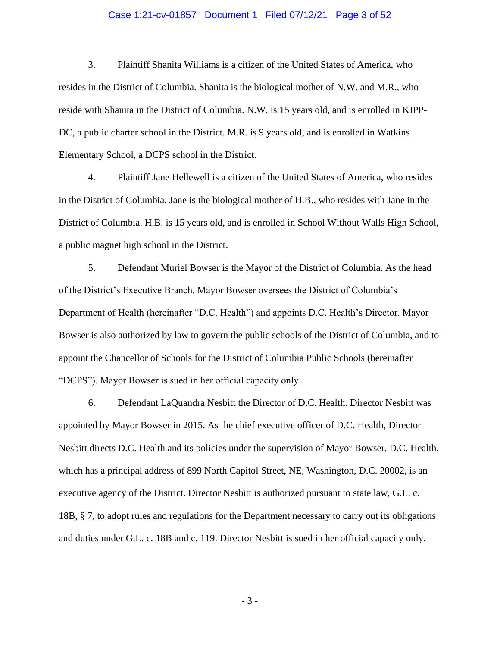### Case 1:21-cv-01857 Document 1 Filed 07/12/21 Page 3 of 52

3. Plaintiff Shanita Williams is a citizen of the United States of America, who resides in the District of Columbia. Shanita is the biological mother of N.W. and M.R., who reside with Shanita in the District of Columbia. N.W. is 15 years old, and is enrolled in KIPP-DC, a public charter school in the District. M.R. is 9 years old, and is enrolled in Watkins Elementary School, a DCPS school in the District.

4. Plaintiff Jane Hellewell is a citizen of the United States of America, who resides in the District of Columbia. Jane is the biological mother of H.B., who resides with Jane in the District of Columbia. H.B. is 15 years old, and is enrolled in School Without Walls High School, a public magnet high school in the District.

5. Defendant Muriel Bowser is the Mayor of the District of Columbia. As the head of the District's Executive Branch, Mayor Bowser oversees the District of Columbia's Department of Health (hereinafter "D.C. Health") and appoints D.C. Health's Director. Mayor Bowser is also authorized by law to govern the public schools of the District of Columbia, and to appoint the Chancellor of Schools for the District of Columbia Public Schools (hereinafter "DCPS"). Mayor Bowser is sued in her official capacity only.

6. Defendant LaQuandra Nesbitt the Director of D.C. Health. Director Nesbitt was appointed by Mayor Bowser in 2015. As the chief executive officer of D.C. Health, Director Nesbitt directs D.C. Health and its policies under the supervision of Mayor Bowser. D.C. Health, which has a principal address of 899 North Capitol Street, NE, Washington, D.C. 20002, is an executive agency of the District. Director Nesbitt is authorized pursuant to state law, G.L. c. 18B, § 7, to adopt rules and regulations for the Department necessary to carry out its obligations and duties under G.L. c. 18B and c. 119. Director Nesbitt is sued in her official capacity only.

- 3 -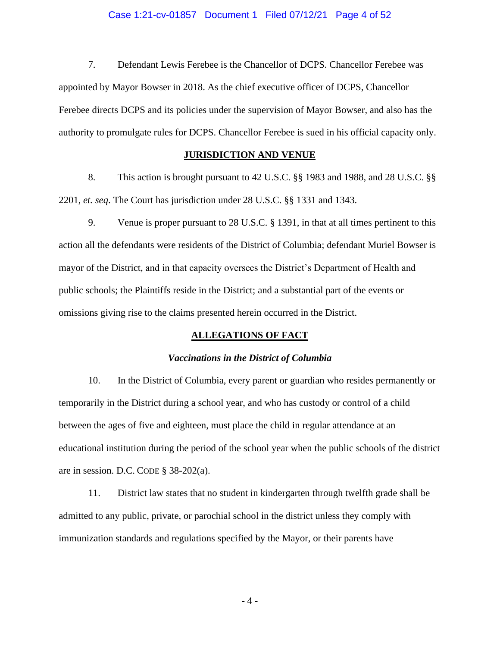#### Case 1:21-cv-01857 Document 1 Filed 07/12/21 Page 4 of 52

7. Defendant Lewis Ferebee is the Chancellor of DCPS. Chancellor Ferebee was appointed by Mayor Bowser in 2018. As the chief executive officer of DCPS, Chancellor Ferebee directs DCPS and its policies under the supervision of Mayor Bowser, and also has the authority to promulgate rules for DCPS. Chancellor Ferebee is sued in his official capacity only.

## **JURISDICTION AND VENUE**

8. This action is brought pursuant to 42 U.S.C. §§ 1983 and 1988, and 28 U.S.C. §§ 2201, *et. seq*. The Court has jurisdiction under 28 U.S.C. §§ 1331 and 1343.

9. Venue is proper pursuant to 28 U.S.C. § 1391, in that at all times pertinent to this action all the defendants were residents of the District of Columbia; defendant Muriel Bowser is mayor of the District, and in that capacity oversees the District's Department of Health and public schools; the Plaintiffs reside in the District; and a substantial part of the events or omissions giving rise to the claims presented herein occurred in the District.

### **ALLEGATIONS OF FACT**

#### *Vaccinations in the District of Columbia*

10. In the District of Columbia, every parent or guardian who resides permanently or temporarily in the District during a school year, and who has custody or control of a child between the ages of five and eighteen, must place the child in regular attendance at an educational institution during the period of the school year when the public schools of the district are in session. D.C. CODE § 38-202(a).

11. District law states that no student in kindergarten through twelfth grade shall be admitted to any public, private, or parochial school in the district unless they comply with immunization standards and regulations specified by the Mayor, or their parents have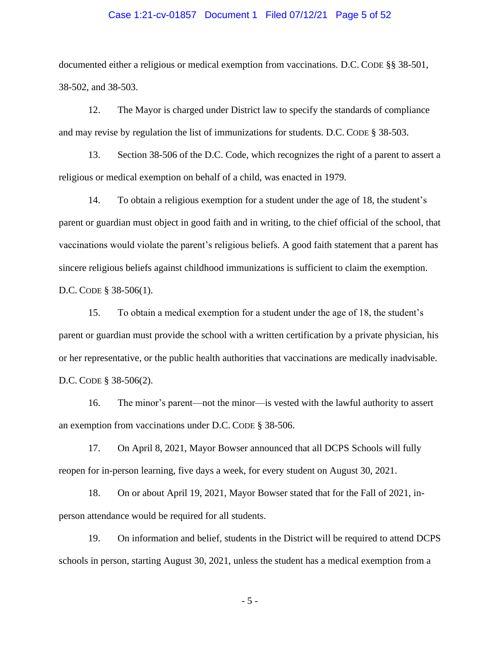#### Case 1:21-cv-01857 Document 1 Filed 07/12/21 Page 5 of 52

documented either a religious or medical exemption from vaccinations. D.C. CODE §§ 38-501, 38-502, and 38-503.

12. The Mayor is charged under District law to specify the standards of compliance and may revise by regulation the list of immunizations for students. D.C. CODE § 38-503.

13. Section 38-506 of the D.C. Code, which recognizes the right of a parent to assert a religious or medical exemption on behalf of a child, was enacted in 1979.

14. To obtain a religious exemption for a student under the age of 18, the student's parent or guardian must object in good faith and in writing, to the chief official of the school, that vaccinations would violate the parent's religious beliefs. A good faith statement that a parent has sincere religious beliefs against childhood immunizations is sufficient to claim the exemption. D.C. CODE § 38-506(1).

15. To obtain a medical exemption for a student under the age of 18, the student's parent or guardian must provide the school with a written certification by a private physician, his or her representative, or the public health authorities that vaccinations are medically inadvisable. D.C. CODE § 38-506(2).

16. The minor's parent—not the minor—is vested with the lawful authority to assert an exemption from vaccinations under D.C. CODE § 38-506.

17. On April 8, 2021, Mayor Bowser announced that all DCPS Schools will fully reopen for in-person learning, five days a week, for every student on August 30, 2021.

18. On or about April 19, 2021, Mayor Bowser stated that for the Fall of 2021, inperson attendance would be required for all students.

19. On information and belief, students in the District will be required to attend DCPS schools in person, starting August 30, 2021, unless the student has a medical exemption from a

- 5 -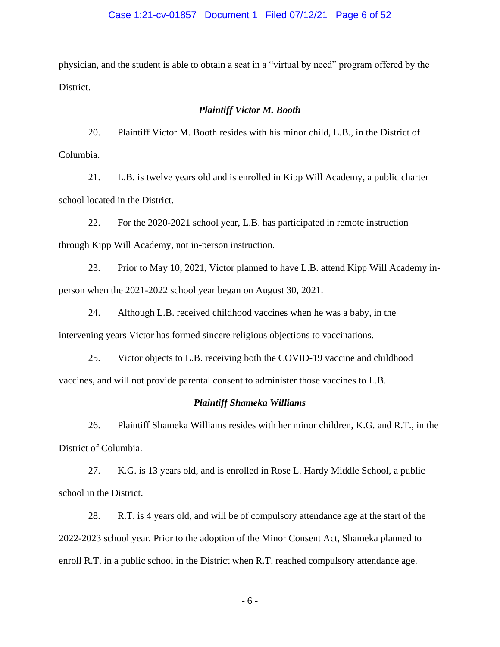### Case 1:21-cv-01857 Document 1 Filed 07/12/21 Page 6 of 52

physician, and the student is able to obtain a seat in a "virtual by need" program offered by the District.

#### *Plaintiff Victor M. Booth*

20. Plaintiff Victor M. Booth resides with his minor child, L.B., in the District of Columbia.

21. L.B. is twelve years old and is enrolled in Kipp Will Academy, a public charter school located in the District.

22. For the 2020-2021 school year, L.B. has participated in remote instruction through Kipp Will Academy, not in-person instruction.

23. Prior to May 10, 2021, Victor planned to have L.B. attend Kipp Will Academy inperson when the 2021-2022 school year began on August 30, 2021.

24. Although L.B. received childhood vaccines when he was a baby, in the intervening years Victor has formed sincere religious objections to vaccinations.

25. Victor objects to L.B. receiving both the COVID-19 vaccine and childhood vaccines, and will not provide parental consent to administer those vaccines to L.B.

#### *Plaintiff Shameka Williams*

26. Plaintiff Shameka Williams resides with her minor children, K.G. and R.T., in the District of Columbia.

27. K.G. is 13 years old, and is enrolled in Rose L. Hardy Middle School, a public school in the District.

28. R.T. is 4 years old, and will be of compulsory attendance age at the start of the 2022-2023 school year. Prior to the adoption of the Minor Consent Act, Shameka planned to enroll R.T. in a public school in the District when R.T. reached compulsory attendance age.

- 6 -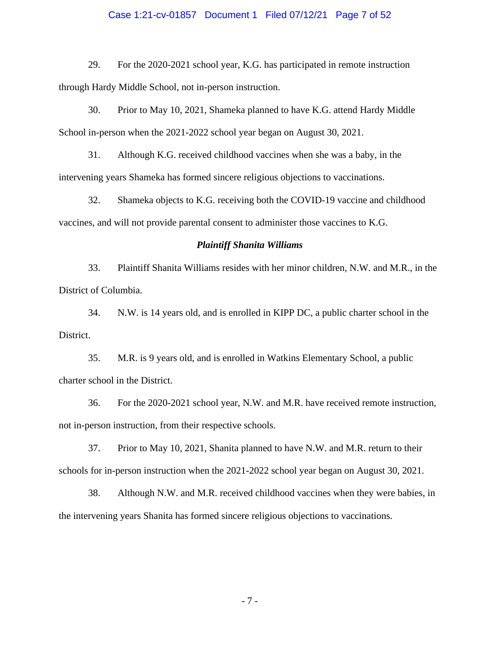#### Case 1:21-cv-01857 Document 1 Filed 07/12/21 Page 7 of 52

29. For the 2020-2021 school year, K.G. has participated in remote instruction through Hardy Middle School, not in-person instruction.

30. Prior to May 10, 2021, Shameka planned to have K.G. attend Hardy Middle School in-person when the 2021-2022 school year began on August 30, 2021.

31. Although K.G. received childhood vaccines when she was a baby, in the intervening years Shameka has formed sincere religious objections to vaccinations.

32. Shameka objects to K.G. receiving both the COVID-19 vaccine and childhood vaccines, and will not provide parental consent to administer those vaccines to K.G.

#### *Plaintiff Shanita Williams*

33. Plaintiff Shanita Williams resides with her minor children, N.W. and M.R., in the District of Columbia.

34. N.W. is 14 years old, and is enrolled in KIPP DC, a public charter school in the District.

35. M.R. is 9 years old, and is enrolled in Watkins Elementary School, a public charter school in the District.

36. For the 2020-2021 school year, N.W. and M.R. have received remote instruction, not in-person instruction, from their respective schools.

37. Prior to May 10, 2021, Shanita planned to have N.W. and M.R. return to their schools for in-person instruction when the 2021-2022 school year began on August 30, 2021.

38. Although N.W. and M.R. received childhood vaccines when they were babies, in the intervening years Shanita has formed sincere religious objections to vaccinations.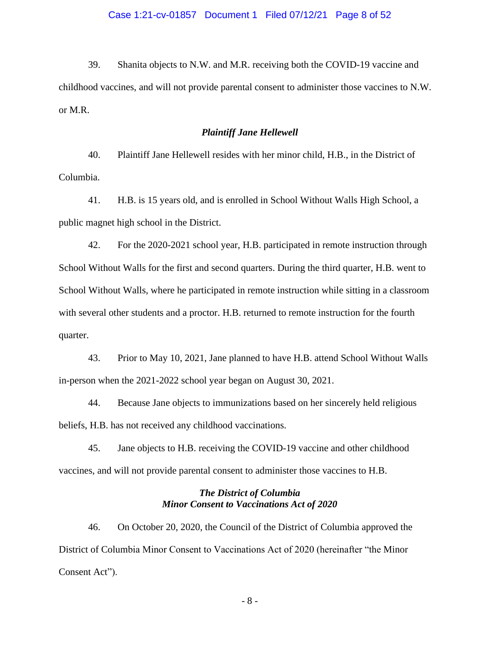### Case 1:21-cv-01857 Document 1 Filed 07/12/21 Page 8 of 52

39. Shanita objects to N.W. and M.R. receiving both the COVID-19 vaccine and childhood vaccines, and will not provide parental consent to administer those vaccines to N.W. or M.R.

### *Plaintiff Jane Hellewell*

40. Plaintiff Jane Hellewell resides with her minor child, H.B., in the District of Columbia.

41. H.B. is 15 years old, and is enrolled in School Without Walls High School, a public magnet high school in the District.

42. For the 2020-2021 school year, H.B. participated in remote instruction through School Without Walls for the first and second quarters. During the third quarter, H.B. went to School Without Walls, where he participated in remote instruction while sitting in a classroom with several other students and a proctor. H.B. returned to remote instruction for the fourth quarter.

43. Prior to May 10, 2021, Jane planned to have H.B. attend School Without Walls in-person when the 2021-2022 school year began on August 30, 2021.

44. Because Jane objects to immunizations based on her sincerely held religious beliefs, H.B. has not received any childhood vaccinations.

45. Jane objects to H.B. receiving the COVID-19 vaccine and other childhood vaccines, and will not provide parental consent to administer those vaccines to H.B.

# *The District of Columbia Minor Consent to Vaccinations Act of 2020*

46. On October 20, 2020, the Council of the District of Columbia approved the District of Columbia Minor Consent to Vaccinations Act of 2020 (hereinafter "the Minor Consent Act").

- 8 -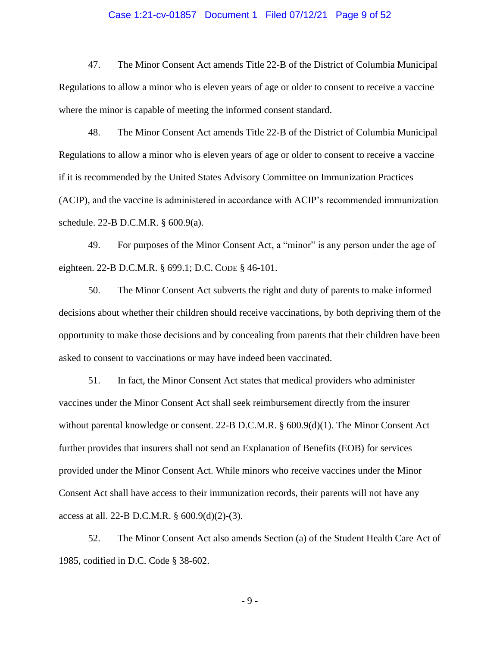#### Case 1:21-cv-01857 Document 1 Filed 07/12/21 Page 9 of 52

47. The Minor Consent Act amends Title 22-B of the District of Columbia Municipal Regulations to allow a minor who is eleven years of age or older to consent to receive a vaccine where the minor is capable of meeting the informed consent standard.

48. The Minor Consent Act amends Title 22-B of the District of Columbia Municipal Regulations to allow a minor who is eleven years of age or older to consent to receive a vaccine if it is recommended by the United States Advisory Committee on Immunization Practices (ACIP), and the vaccine is administered in accordance with ACIP's recommended immunization schedule. 22-B D.C.M.R. § 600.9(a).

49. For purposes of the Minor Consent Act, a "minor" is any person under the age of eighteen. 22-B D.C.M.R. § 699.1; D.C. CODE § 46-101.

50. The Minor Consent Act subverts the right and duty of parents to make informed decisions about whether their children should receive vaccinations, by both depriving them of the opportunity to make those decisions and by concealing from parents that their children have been asked to consent to vaccinations or may have indeed been vaccinated.

51. In fact, the Minor Consent Act states that medical providers who administer vaccines under the Minor Consent Act shall seek reimbursement directly from the insurer without parental knowledge or consent. 22-B D.C.M.R. § 600.9(d)(1). The Minor Consent Act further provides that insurers shall not send an Explanation of Benefits (EOB) for services provided under the Minor Consent Act. While minors who receive vaccines under the Minor Consent Act shall have access to their immunization records, their parents will not have any access at all. 22-B D.C.M.R. § 600.9(d)(2)-(3).

52. The Minor Consent Act also amends Section (a) of the Student Health Care Act of 1985, codified in D.C. Code § 38-602.

- 9 -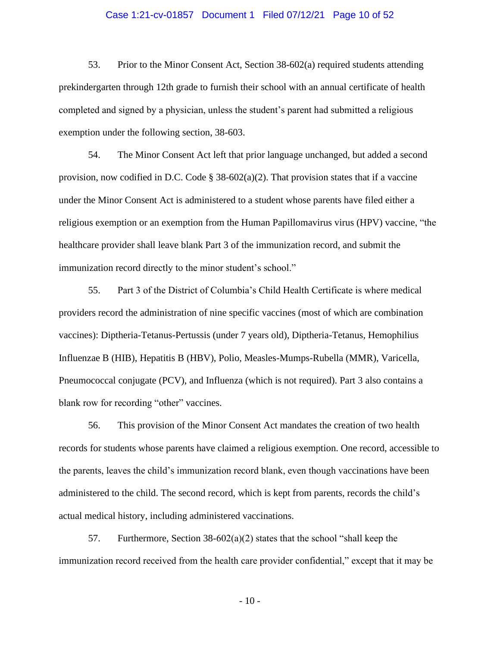### Case 1:21-cv-01857 Document 1 Filed 07/12/21 Page 10 of 52

53. Prior to the Minor Consent Act, Section 38-602(a) required students attending prekindergarten through 12th grade to furnish their school with an annual certificate of health completed and signed by a physician, unless the student's parent had submitted a religious exemption under the following section, 38-603.

54. The Minor Consent Act left that prior language unchanged, but added a second provision, now codified in D.C. Code  $\S$  38-602(a)(2). That provision states that if a vaccine under the Minor Consent Act is administered to a student whose parents have filed either a religious exemption or an exemption from the Human Papillomavirus virus (HPV) vaccine, "the healthcare provider shall leave blank Part 3 of the immunization record, and submit the immunization record directly to the minor student's school."

55. Part 3 of the District of Columbia's Child Health Certificate is where medical providers record the administration of nine specific vaccines (most of which are combination vaccines): Diptheria-Tetanus-Pertussis (under 7 years old), Diptheria-Tetanus, Hemophilius Influenzae B (HIB), Hepatitis B (HBV), Polio, Measles-Mumps-Rubella (MMR), Varicella, Pneumococcal conjugate (PCV), and Influenza (which is not required). Part 3 also contains a blank row for recording "other" vaccines.

56. This provision of the Minor Consent Act mandates the creation of two health records for students whose parents have claimed a religious exemption. One record, accessible to the parents, leaves the child's immunization record blank, even though vaccinations have been administered to the child. The second record, which is kept from parents, records the child's actual medical history, including administered vaccinations.

57. Furthermore, Section 38-602(a)(2) states that the school "shall keep the immunization record received from the health care provider confidential," except that it may be

- 10 -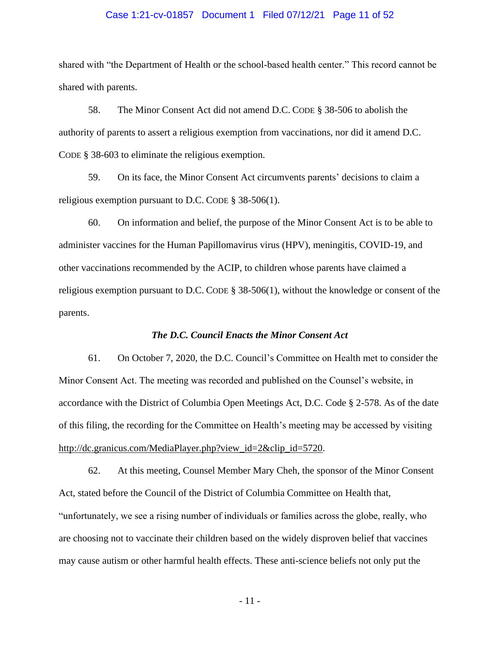#### Case 1:21-cv-01857 Document 1 Filed 07/12/21 Page 11 of 52

shared with "the Department of Health or the school-based health center." This record cannot be shared with parents.

58. The Minor Consent Act did not amend D.C. CODE § 38-506 to abolish the authority of parents to assert a religious exemption from vaccinations, nor did it amend D.C. CODE § 38-603 to eliminate the religious exemption.

59. On its face, the Minor Consent Act circumvents parents' decisions to claim a religious exemption pursuant to D.C. CODE § 38-506(1).

60. On information and belief, the purpose of the Minor Consent Act is to be able to administer vaccines for the Human Papillomavirus virus (HPV), meningitis, COVID-19, and other vaccinations recommended by the ACIP, to children whose parents have claimed a religious exemption pursuant to D.C. CODE § 38-506(1), without the knowledge or consent of the parents.

#### *The D.C. Council Enacts the Minor Consent Act*

61. On October 7, 2020, the D.C. Council's Committee on Health met to consider the Minor Consent Act. The meeting was recorded and published on the Counsel's website, in accordance with the District of Columbia Open Meetings Act, D.C. Code § 2-578. As of the date of this filing, the recording for the Committee on Health's meeting may be accessed by visiting http://dc.granicus.com/MediaPlayer.php?view\_id=2&clip\_id=5720.

62. At this meeting, Counsel Member Mary Cheh, the sponsor of the Minor Consent Act, stated before the Council of the District of Columbia Committee on Health that, "unfortunately, we see a rising number of individuals or families across the globe, really, who are choosing not to vaccinate their children based on the widely disproven belief that vaccines may cause autism or other harmful health effects. These anti-science beliefs not only put the

- 11 -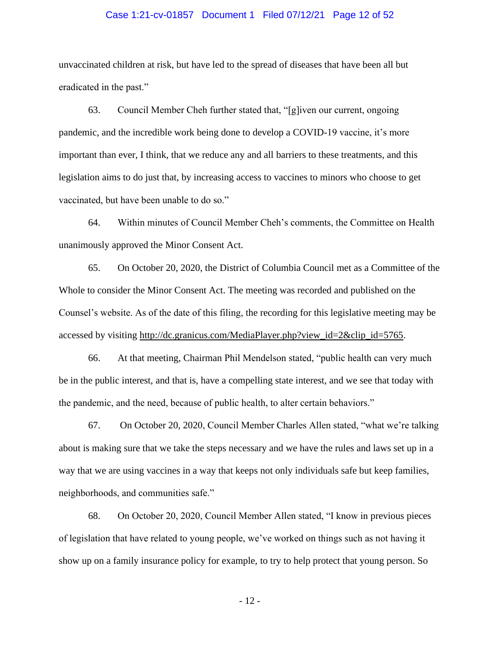#### Case 1:21-cv-01857 Document 1 Filed 07/12/21 Page 12 of 52

unvaccinated children at risk, but have led to the spread of diseases that have been all but eradicated in the past."

63. Council Member Cheh further stated that, "[g]iven our current, ongoing pandemic, and the incredible work being done to develop a COVID-19 vaccine, it's more important than ever, I think, that we reduce any and all barriers to these treatments, and this legislation aims to do just that, by increasing access to vaccines to minors who choose to get vaccinated, but have been unable to do so."

64. Within minutes of Council Member Cheh's comments, the Committee on Health unanimously approved the Minor Consent Act.

65. On October 20, 2020, the District of Columbia Council met as a Committee of the Whole to consider the Minor Consent Act. The meeting was recorded and published on the Counsel's website. As of the date of this filing, the recording for this legislative meeting may be accessed by visiting http://dc.granicus.com/MediaPlayer.php?view\_id=2&clip\_id=5765.

66. At that meeting, Chairman Phil Mendelson stated, "public health can very much be in the public interest, and that is, have a compelling state interest, and we see that today with the pandemic, and the need, because of public health, to alter certain behaviors."

67. On October 20, 2020, Council Member Charles Allen stated, "what we're talking about is making sure that we take the steps necessary and we have the rules and laws set up in a way that we are using vaccines in a way that keeps not only individuals safe but keep families, neighborhoods, and communities safe."

68. On October 20, 2020, Council Member Allen stated, "I know in previous pieces of legislation that have related to young people, we've worked on things such as not having it show up on a family insurance policy for example, to try to help protect that young person. So

- 12 -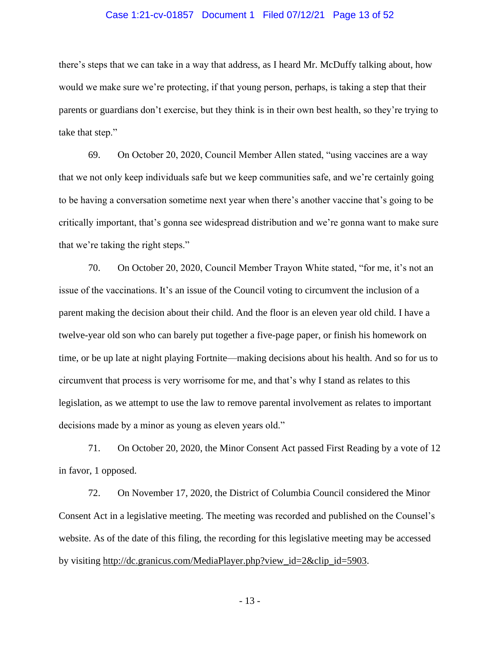#### Case 1:21-cv-01857 Document 1 Filed 07/12/21 Page 13 of 52

there's steps that we can take in a way that address, as I heard Mr. McDuffy talking about, how would we make sure we're protecting, if that young person, perhaps, is taking a step that their parents or guardians don't exercise, but they think is in their own best health, so they're trying to take that step."

69. On October 20, 2020, Council Member Allen stated, "using vaccines are a way that we not only keep individuals safe but we keep communities safe, and we're certainly going to be having a conversation sometime next year when there's another vaccine that's going to be critically important, that's gonna see widespread distribution and we're gonna want to make sure that we're taking the right steps."

70. On October 20, 2020, Council Member Trayon White stated, "for me, it's not an issue of the vaccinations. It's an issue of the Council voting to circumvent the inclusion of a parent making the decision about their child. And the floor is an eleven year old child. I have a twelve-year old son who can barely put together a five-page paper, or finish his homework on time, or be up late at night playing Fortnite—making decisions about his health. And so for us to circumvent that process is very worrisome for me, and that's why I stand as relates to this legislation, as we attempt to use the law to remove parental involvement as relates to important decisions made by a minor as young as eleven years old."

71. On October 20, 2020, the Minor Consent Act passed First Reading by a vote of 12 in favor, 1 opposed.

72. On November 17, 2020, the District of Columbia Council considered the Minor Consent Act in a legislative meeting. The meeting was recorded and published on the Counsel's website. As of the date of this filing, the recording for this legislative meeting may be accessed by visiting http://dc.granicus.com/MediaPlayer.php?view\_id=2&clip\_id=5903.

- 13 -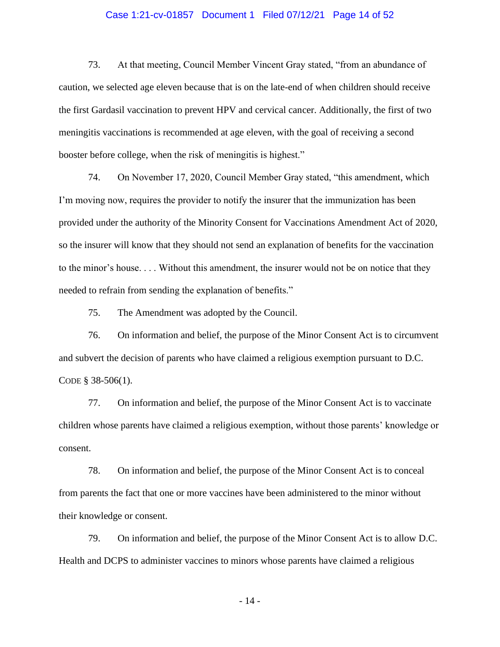### Case 1:21-cv-01857 Document 1 Filed 07/12/21 Page 14 of 52

73. At that meeting, Council Member Vincent Gray stated, "from an abundance of caution, we selected age eleven because that is on the late-end of when children should receive the first Gardasil vaccination to prevent HPV and cervical cancer. Additionally, the first of two meningitis vaccinations is recommended at age eleven, with the goal of receiving a second booster before college, when the risk of meningitis is highest."

74. On November 17, 2020, Council Member Gray stated, "this amendment, which I'm moving now, requires the provider to notify the insurer that the immunization has been provided under the authority of the Minority Consent for Vaccinations Amendment Act of 2020, so the insurer will know that they should not send an explanation of benefits for the vaccination to the minor's house. . . . Without this amendment, the insurer would not be on notice that they needed to refrain from sending the explanation of benefits."

75. The Amendment was adopted by the Council.

76. On information and belief, the purpose of the Minor Consent Act is to circumvent and subvert the decision of parents who have claimed a religious exemption pursuant to D.C. CODE § 38-506(1).

77. On information and belief, the purpose of the Minor Consent Act is to vaccinate children whose parents have claimed a religious exemption, without those parents' knowledge or consent.

78. On information and belief, the purpose of the Minor Consent Act is to conceal from parents the fact that one or more vaccines have been administered to the minor without their knowledge or consent.

79. On information and belief, the purpose of the Minor Consent Act is to allow D.C. Health and DCPS to administer vaccines to minors whose parents have claimed a religious

- 14 -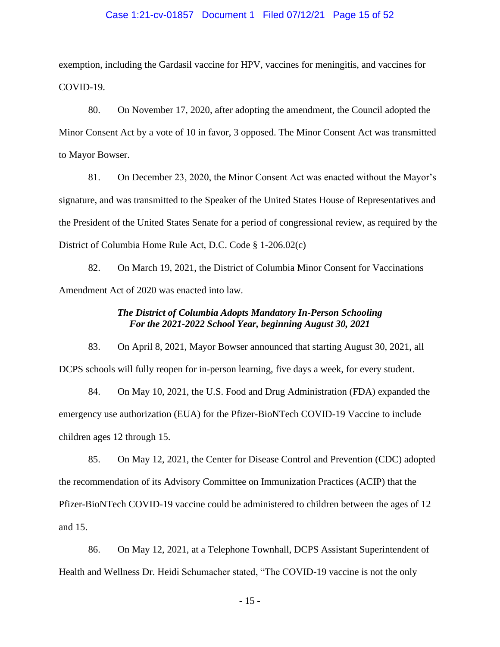#### Case 1:21-cv-01857 Document 1 Filed 07/12/21 Page 15 of 52

exemption, including the Gardasil vaccine for HPV, vaccines for meningitis, and vaccines for COVID-19.

80. On November 17, 2020, after adopting the amendment, the Council adopted the Minor Consent Act by a vote of 10 in favor, 3 opposed. The Minor Consent Act was transmitted to Mayor Bowser.

81. On December 23, 2020, the Minor Consent Act was enacted without the Mayor's signature, and was transmitted to the Speaker of the United States House of Representatives and the President of the United States Senate for a period of congressional review, as required by the District of Columbia Home Rule Act, D.C. Code § 1-206.02(c)

82. On March 19, 2021, the District of Columbia Minor Consent for Vaccinations Amendment Act of 2020 was enacted into law.

## *The District of Columbia Adopts Mandatory In-Person Schooling For the 2021-2022 School Year, beginning August 30, 2021*

83. On April 8, 2021, Mayor Bowser announced that starting August 30, 2021, all DCPS schools will fully reopen for in-person learning, five days a week, for every student.

84. On May 10, 2021, the U.S. Food and Drug Administration (FDA) expanded the emergency use authorization (EUA) for the Pfizer-BioNTech COVID-19 Vaccine to include children ages 12 through 15.

85. On May 12, 2021, the Center for Disease Control and Prevention (CDC) adopted the recommendation of its Advisory Committee on Immunization Practices (ACIP) that the Pfizer-BioNTech COVID-19 vaccine could be administered to children between the ages of 12 and 15.

86. On May 12, 2021, at a Telephone Townhall, DCPS Assistant Superintendent of Health and Wellness Dr. Heidi Schumacher stated, "The COVID-19 vaccine is not the only

- 15 -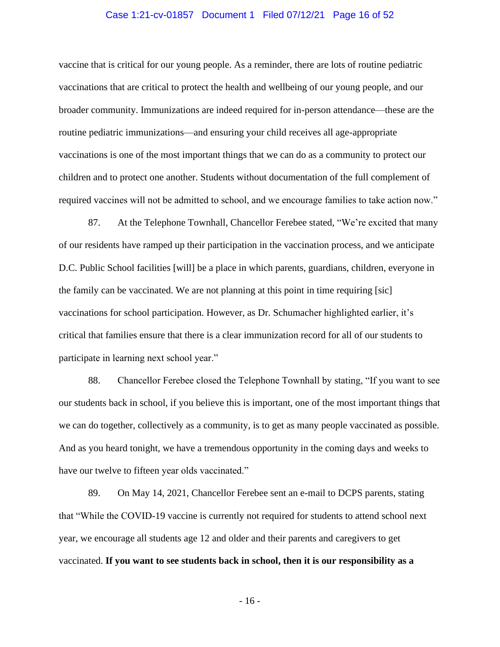#### Case 1:21-cv-01857 Document 1 Filed 07/12/21 Page 16 of 52

vaccine that is critical for our young people. As a reminder, there are lots of routine pediatric vaccinations that are critical to protect the health and wellbeing of our young people, and our broader community. Immunizations are indeed required for in-person attendance—these are the routine pediatric immunizations—and ensuring your child receives all age-appropriate vaccinations is one of the most important things that we can do as a community to protect our children and to protect one another. Students without documentation of the full complement of required vaccines will not be admitted to school, and we encourage families to take action now."

87. At the Telephone Townhall, Chancellor Ferebee stated, "We're excited that many of our residents have ramped up their participation in the vaccination process, and we anticipate D.C. Public School facilities [will] be a place in which parents, guardians, children, everyone in the family can be vaccinated. We are not planning at this point in time requiring [sic] vaccinations for school participation. However, as Dr. Schumacher highlighted earlier, it's critical that families ensure that there is a clear immunization record for all of our students to participate in learning next school year."

88. Chancellor Ferebee closed the Telephone Townhall by stating, "If you want to see our students back in school, if you believe this is important, one of the most important things that we can do together, collectively as a community, is to get as many people vaccinated as possible. And as you heard tonight, we have a tremendous opportunity in the coming days and weeks to have our twelve to fifteen year olds vaccinated."

89. On May 14, 2021, Chancellor Ferebee sent an e-mail to DCPS parents, stating that "While the COVID-19 vaccine is currently not required for students to attend school next year, we encourage all students age 12 and older and their parents and caregivers to get vaccinated. **If you want to see students back in school, then it is our responsibility as a** 

- 16 -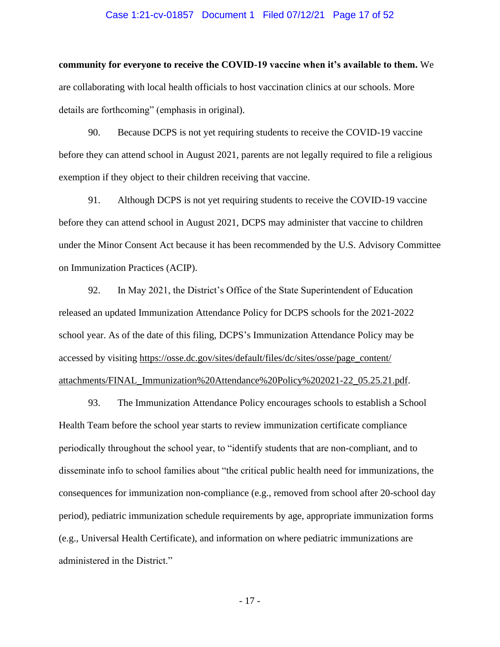#### Case 1:21-cv-01857 Document 1 Filed 07/12/21 Page 17 of 52

**community for everyone to receive the COVID-19 vaccine when it's available to them.** We are collaborating with local health officials to host vaccination clinics at our schools. More details are forthcoming" (emphasis in original).

90. Because DCPS is not yet requiring students to receive the COVID-19 vaccine before they can attend school in August 2021, parents are not legally required to file a religious exemption if they object to their children receiving that vaccine.

91. Although DCPS is not yet requiring students to receive the COVID-19 vaccine before they can attend school in August 2021, DCPS may administer that vaccine to children under the Minor Consent Act because it has been recommended by the U.S. Advisory Committee on Immunization Practices (ACIP).

92. In May 2021, the District's Office of the State Superintendent of Education released an updated Immunization Attendance Policy for DCPS schools for the 2021-2022 school year. As of the date of this filing, DCPS's Immunization Attendance Policy may be accessed by visiting https://osse.dc.gov/sites/default/files/dc/sites/osse/page\_content/ attachments/FINAL\_Immunization%20Attendance%20Policy%202021-22\_05.25.21.pdf.

93. The Immunization Attendance Policy encourages schools to establish a School Health Team before the school year starts to review immunization certificate compliance periodically throughout the school year, to "identify students that are non-compliant, and to disseminate info to school families about "the critical public health need for immunizations, the consequences for immunization non-compliance (e.g., removed from school after 20-school day period), pediatric immunization schedule requirements by age, appropriate immunization forms (e.g., Universal Health Certificate), and information on where pediatric immunizations are administered in the District."

- 17 -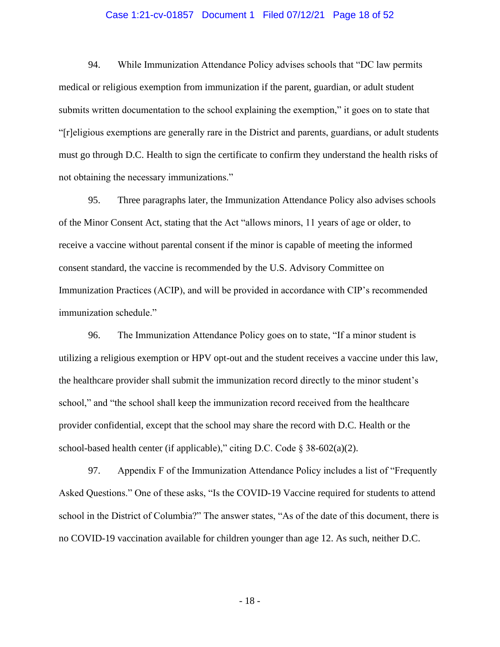#### Case 1:21-cv-01857 Document 1 Filed 07/12/21 Page 18 of 52

94. While Immunization Attendance Policy advises schools that "DC law permits medical or religious exemption from immunization if the parent, guardian, or adult student submits written documentation to the school explaining the exemption," it goes on to state that "[r]eligious exemptions are generally rare in the District and parents, guardians, or adult students must go through D.C. Health to sign the certificate to confirm they understand the health risks of not obtaining the necessary immunizations."

95. Three paragraphs later, the Immunization Attendance Policy also advises schools of the Minor Consent Act, stating that the Act "allows minors, 11 years of age or older, to receive a vaccine without parental consent if the minor is capable of meeting the informed consent standard, the vaccine is recommended by the U.S. Advisory Committee on Immunization Practices (ACIP), and will be provided in accordance with CIP's recommended immunization schedule."

96. The Immunization Attendance Policy goes on to state, "If a minor student is utilizing a religious exemption or HPV opt-out and the student receives a vaccine under this law, the healthcare provider shall submit the immunization record directly to the minor student's school," and "the school shall keep the immunization record received from the healthcare provider confidential, except that the school may share the record with D.C. Health or the school-based health center (if applicable)," citing D.C. Code  $\S 38-602(a)(2)$ .

97. Appendix F of the Immunization Attendance Policy includes a list of "Frequently Asked Questions." One of these asks, "Is the COVID-19 Vaccine required for students to attend school in the District of Columbia?" The answer states, "As of the date of this document, there is no COVID-19 vaccination available for children younger than age 12. As such, neither D.C.

- 18 -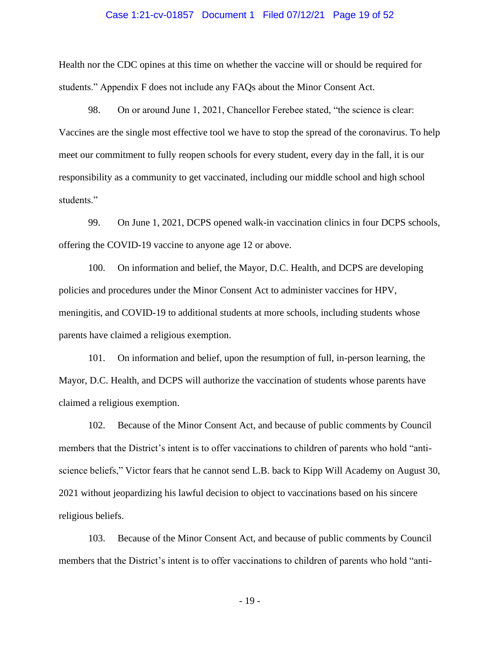#### Case 1:21-cv-01857 Document 1 Filed 07/12/21 Page 19 of 52

Health nor the CDC opines at this time on whether the vaccine will or should be required for students." Appendix F does not include any FAQs about the Minor Consent Act.

98. On or around June 1, 2021, Chancellor Ferebee stated, "the science is clear: Vaccines are the single most effective tool we have to stop the spread of the coronavirus. To help meet our commitment to fully reopen schools for every student, every day in the fall, it is our responsibility as a community to get vaccinated, including our middle school and high school students."

99. On June 1, 2021, DCPS opened walk-in vaccination clinics in four DCPS schools, offering the COVID-19 vaccine to anyone age 12 or above.

100. On information and belief, the Mayor, D.C. Health, and DCPS are developing policies and procedures under the Minor Consent Act to administer vaccines for HPV, meningitis, and COVID-19 to additional students at more schools, including students whose parents have claimed a religious exemption.

101. On information and belief, upon the resumption of full, in-person learning, the Mayor, D.C. Health, and DCPS will authorize the vaccination of students whose parents have claimed a religious exemption.

102. Because of the Minor Consent Act, and because of public comments by Council members that the District's intent is to offer vaccinations to children of parents who hold "antiscience beliefs," Victor fears that he cannot send L.B. back to Kipp Will Academy on August 30, 2021 without jeopardizing his lawful decision to object to vaccinations based on his sincere religious beliefs.

103. Because of the Minor Consent Act, and because of public comments by Council members that the District's intent is to offer vaccinations to children of parents who hold "anti-

- 19 -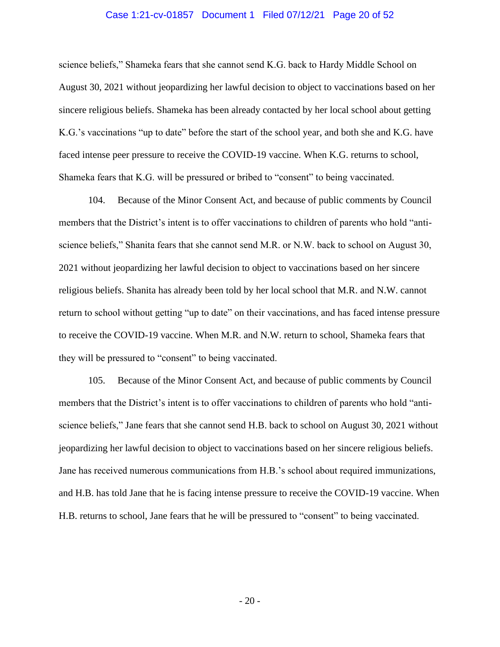#### Case 1:21-cv-01857 Document 1 Filed 07/12/21 Page 20 of 52

science beliefs," Shameka fears that she cannot send K.G. back to Hardy Middle School on August 30, 2021 without jeopardizing her lawful decision to object to vaccinations based on her sincere religious beliefs. Shameka has been already contacted by her local school about getting K.G.'s vaccinations "up to date" before the start of the school year, and both she and K.G. have faced intense peer pressure to receive the COVID-19 vaccine. When K.G. returns to school, Shameka fears that K.G. will be pressured or bribed to "consent" to being vaccinated.

104. Because of the Minor Consent Act, and because of public comments by Council members that the District's intent is to offer vaccinations to children of parents who hold "antiscience beliefs," Shanita fears that she cannot send M.R. or N.W. back to school on August 30, 2021 without jeopardizing her lawful decision to object to vaccinations based on her sincere religious beliefs. Shanita has already been told by her local school that M.R. and N.W. cannot return to school without getting "up to date" on their vaccinations, and has faced intense pressure to receive the COVID-19 vaccine. When M.R. and N.W. return to school, Shameka fears that they will be pressured to "consent" to being vaccinated.

105. Because of the Minor Consent Act, and because of public comments by Council members that the District's intent is to offer vaccinations to children of parents who hold "antiscience beliefs," Jane fears that she cannot send H.B. back to school on August 30, 2021 without jeopardizing her lawful decision to object to vaccinations based on her sincere religious beliefs. Jane has received numerous communications from H.B.'s school about required immunizations, and H.B. has told Jane that he is facing intense pressure to receive the COVID-19 vaccine. When H.B. returns to school, Jane fears that he will be pressured to "consent" to being vaccinated.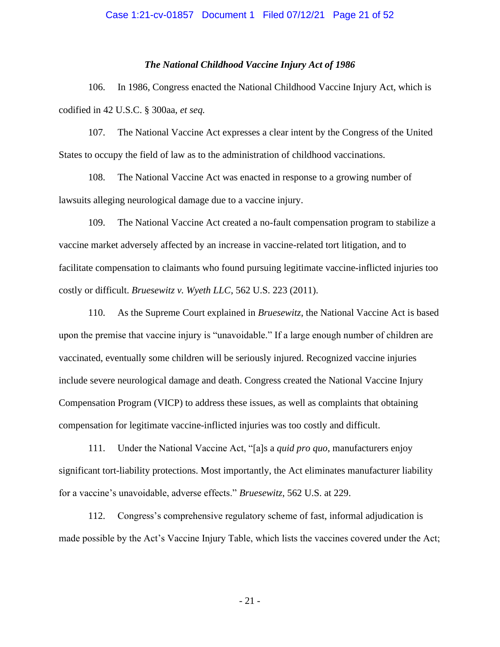#### Case 1:21-cv-01857 Document 1 Filed 07/12/21 Page 21 of 52

#### *The National Childhood Vaccine Injury Act of 1986*

106. In 1986, Congress enacted the National Childhood Vaccine Injury Act, which is codified in 42 U.S.C. § 300aa, *et seq.*

107. The National Vaccine Act expresses a clear intent by the Congress of the United States to occupy the field of law as to the administration of childhood vaccinations.

108. The National Vaccine Act was enacted in response to a growing number of lawsuits alleging neurological damage due to a vaccine injury.

109. The National Vaccine Act created a no-fault compensation program to stabilize a vaccine market adversely affected by an increase in vaccine-related tort litigation, and to facilitate compensation to claimants who found pursuing legitimate vaccine-inflicted injuries too costly or difficult. *Bruesewitz v. Wyeth LLC*, 562 U.S. 223 (2011).

110. As the Supreme Court explained in *Bruesewitz*, the National Vaccine Act is based upon the premise that vaccine injury is "unavoidable." If a large enough number of children are vaccinated, eventually some children will be seriously injured. Recognized vaccine injuries include severe neurological damage and death. Congress created the National Vaccine Injury Compensation Program (VICP) to address these issues, as well as complaints that obtaining compensation for legitimate vaccine-inflicted injuries was too costly and difficult.

111. Under the National Vaccine Act, "[a]s a *quid pro quo*, manufacturers enjoy significant tort-liability protections. Most importantly, the Act eliminates manufacturer liability for a vaccine's unavoidable, adverse effects." *Bruesewitz*, 562 U.S. at 229.

112. Congress's comprehensive regulatory scheme of fast, informal adjudication is made possible by the Act's Vaccine Injury Table, which lists the vaccines covered under the Act;

- 21 -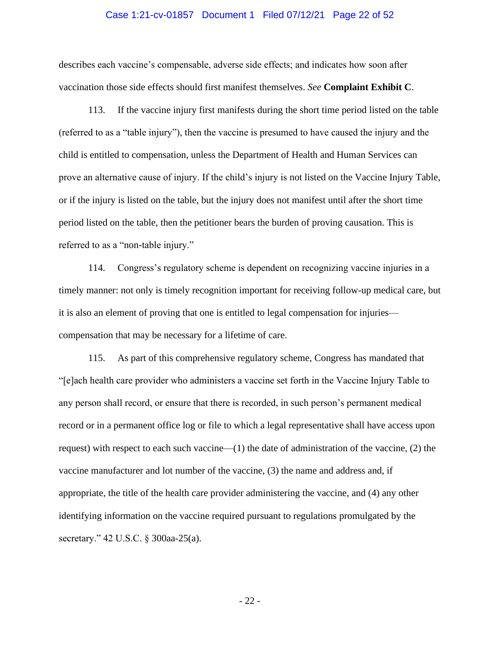#### Case 1:21-cv-01857 Document 1 Filed 07/12/21 Page 22 of 52

describes each vaccine's compensable, adverse side effects; and indicates how soon after vaccination those side effects should first manifest themselves. *See* **Complaint Exhibit C**.

113. If the vaccine injury first manifests during the short time period listed on the table (referred to as a "table injury"), then the vaccine is presumed to have caused the injury and the child is entitled to compensation, unless the Department of Health and Human Services can prove an alternative cause of injury. If the child's injury is not listed on the Vaccine Injury Table, or if the injury is listed on the table, but the injury does not manifest until after the short time period listed on the table, then the petitioner bears the burden of proving causation. This is referred to as a "non-table injury."

114. Congress's regulatory scheme is dependent on recognizing vaccine injuries in a timely manner: not only is timely recognition important for receiving follow-up medical care, but it is also an element of proving that one is entitled to legal compensation for injuries compensation that may be necessary for a lifetime of care.

115. As part of this comprehensive regulatory scheme, Congress has mandated that "[e]ach health care provider who administers a vaccine set forth in the Vaccine Injury Table to any person shall record, or ensure that there is recorded, in such person's permanent medical record or in a permanent office log or file to which a legal representative shall have access upon request) with respect to each such vaccine—(1) the date of administration of the vaccine, (2) the vaccine manufacturer and lot number of the vaccine, (3) the name and address and, if appropriate, the title of the health care provider administering the vaccine, and (4) any other identifying information on the vaccine required pursuant to regulations promulgated by the secretary." 42 U.S.C. § 300aa-25(a).

- 22 -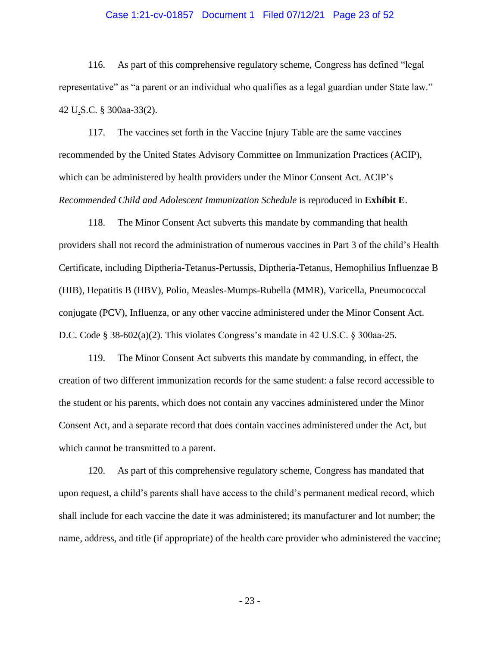### Case 1:21-cv-01857 Document 1 Filed 07/12/21 Page 23 of 52

116. As part of this comprehensive regulatory scheme, Congress has defined "legal representative" as "a parent or an individual who qualifies as a legal guardian under State law." 42 U.S.C. § 300aa-33(2).

117. The vaccines set forth in the Vaccine Injury Table are the same vaccines recommended by the United States Advisory Committee on Immunization Practices (ACIP), which can be administered by health providers under the Minor Consent Act. ACIP's *Recommended Child and Adolescent Immunization Schedule* is reproduced in **Exhibit E**.

118. The Minor Consent Act subverts this mandate by commanding that health providers shall not record the administration of numerous vaccines in Part 3 of the child's Health Certificate, including Diptheria-Tetanus-Pertussis, Diptheria-Tetanus, Hemophilius Influenzae B (HIB), Hepatitis B (HBV), Polio, Measles-Mumps-Rubella (MMR), Varicella, Pneumococcal conjugate (PCV), Influenza, or any other vaccine administered under the Minor Consent Act. D.C. Code § 38-602(a)(2). This violates Congress's mandate in 42 U.S.C. § 300aa-25.

119. The Minor Consent Act subverts this mandate by commanding, in effect, the creation of two different immunization records for the same student: a false record accessible to the student or his parents, which does not contain any vaccines administered under the Minor Consent Act, and a separate record that does contain vaccines administered under the Act, but which cannot be transmitted to a parent.

120. As part of this comprehensive regulatory scheme, Congress has mandated that upon request, a child's parents shall have access to the child's permanent medical record, which shall include for each vaccine the date it was administered; its manufacturer and lot number; the name, address, and title (if appropriate) of the health care provider who administered the vaccine;

- 23 -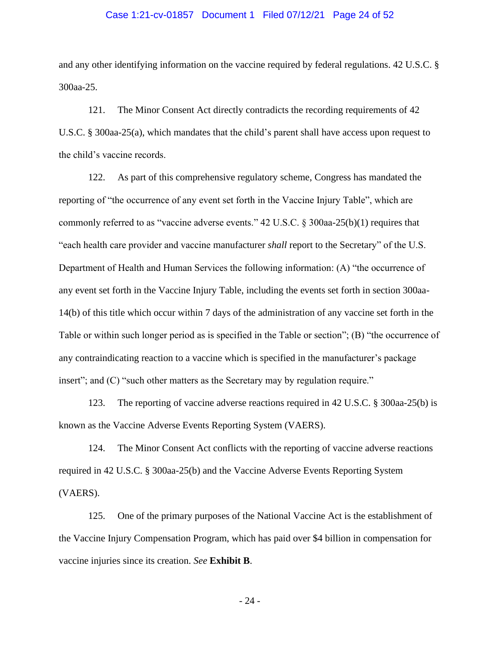#### Case 1:21-cv-01857 Document 1 Filed 07/12/21 Page 24 of 52

and any other identifying information on the vaccine required by federal regulations. 42 U.S.C. § 300aa-25.

121. The Minor Consent Act directly contradicts the recording requirements of 42 U.S.C. § 300aa-25(a), which mandates that the child's parent shall have access upon request to the child's vaccine records.

122. As part of this comprehensive regulatory scheme, Congress has mandated the reporting of "the occurrence of any event set forth in the Vaccine Injury Table", which are commonly referred to as "vaccine adverse events."  $42 \text{ U.S.C.} \& 300$ aa- $25(b)(1)$  requires that "each health care provider and vaccine manufacturer *shall* report to the Secretary" of the U.S. Department of Health and Human Services the following information: (A) "the occurrence of any event set forth in the Vaccine Injury Table, including the events set forth in section 300aa-14(b) of this title which occur within 7 days of the administration of any vaccine set forth in the Table or within such longer period as is specified in the Table or section"; (B) "the occurrence of any contraindicating reaction to a vaccine which is specified in the manufacturer's package insert"; and (C) "such other matters as the Secretary may by regulation require."

123. The reporting of vaccine adverse reactions required in 42 U.S.C. § 300aa-25(b) is known as the Vaccine Adverse Events Reporting System (VAERS).

124. The Minor Consent Act conflicts with the reporting of vaccine adverse reactions required in 42 U.S.C. § 300aa-25(b) and the Vaccine Adverse Events Reporting System (VAERS).

125. One of the primary purposes of the National Vaccine Act is the establishment of the Vaccine Injury Compensation Program, which has paid over \$4 billion in compensation for vaccine injuries since its creation. *See* **Exhibit B**.

- 24 -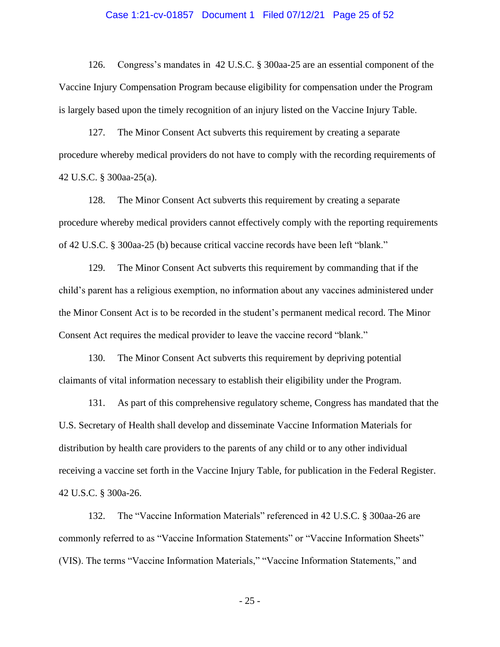#### Case 1:21-cv-01857 Document 1 Filed 07/12/21 Page 25 of 52

126. Congress's mandates in 42 U.S.C. § 300aa-25 are an essential component of the Vaccine Injury Compensation Program because eligibility for compensation under the Program is largely based upon the timely recognition of an injury listed on the Vaccine Injury Table.

127. The Minor Consent Act subverts this requirement by creating a separate procedure whereby medical providers do not have to comply with the recording requirements of 42 U.S.C. § 300aa-25(a).

128. The Minor Consent Act subverts this requirement by creating a separate procedure whereby medical providers cannot effectively comply with the reporting requirements of 42 U.S.C. § 300aa-25 (b) because critical vaccine records have been left "blank."

129. The Minor Consent Act subverts this requirement by commanding that if the child's parent has a religious exemption, no information about any vaccines administered under the Minor Consent Act is to be recorded in the student's permanent medical record. The Minor Consent Act requires the medical provider to leave the vaccine record "blank."

130. The Minor Consent Act subverts this requirement by depriving potential claimants of vital information necessary to establish their eligibility under the Program.

131. As part of this comprehensive regulatory scheme, Congress has mandated that the U.S. Secretary of Health shall develop and disseminate Vaccine Information Materials for distribution by health care providers to the parents of any child or to any other individual receiving a vaccine set forth in the Vaccine Injury Table, for publication in the Federal Register. 42 U.S.C. § 300a-26.

132. The "Vaccine Information Materials" referenced in 42 U.S.C. § 300aa-26 are commonly referred to as "Vaccine Information Statements" or "Vaccine Information Sheets" (VIS). The terms "Vaccine Information Materials," "Vaccine Information Statements," and

- 25 -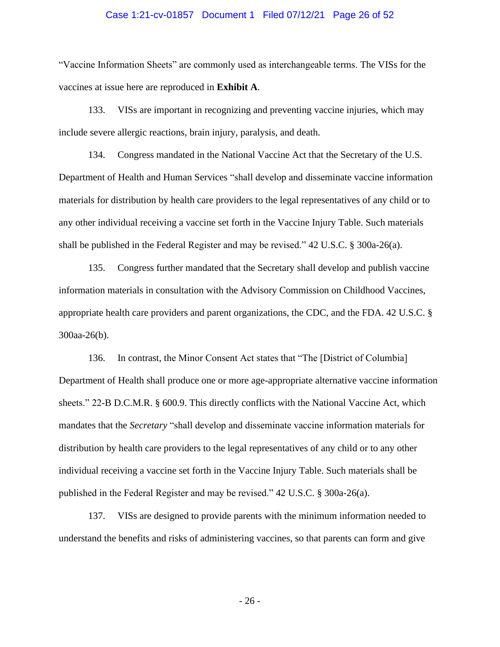#### Case 1:21-cv-01857 Document 1 Filed 07/12/21 Page 26 of 52

"Vaccine Information Sheets" are commonly used as interchangeable terms. The VISs for the vaccines at issue here are reproduced in **Exhibit A**.

133. VISs are important in recognizing and preventing vaccine injuries, which may include severe allergic reactions, brain injury, paralysis, and death.

134. Congress mandated in the National Vaccine Act that the Secretary of the U.S. Department of Health and Human Services "shall develop and disseminate vaccine information materials for distribution by health care providers to the legal representatives of any child or to any other individual receiving a vaccine set forth in the Vaccine Injury Table. Such materials shall be published in the Federal Register and may be revised." 42 U.S.C. § 300a-26(a).

135. Congress further mandated that the Secretary shall develop and publish vaccine information materials in consultation with the Advisory Commission on Childhood Vaccines, appropriate health care providers and parent organizations, the CDC, and the FDA. 42 U.S.C. § 300aa-26(b).

136. In contrast, the Minor Consent Act states that "The [District of Columbia] Department of Health shall produce one or more age-appropriate alternative vaccine information sheets." 22-B D.C.M.R. § 600.9. This directly conflicts with the National Vaccine Act, which mandates that the *Secretary* "shall develop and disseminate vaccine information materials for distribution by health care providers to the legal representatives of any child or to any other individual receiving a vaccine set forth in the Vaccine Injury Table. Such materials shall be published in the Federal Register and may be revised." 42 U.S.C. § 300a-26(a).

137. VISs are designed to provide parents with the minimum information needed to understand the benefits and risks of administering vaccines, so that parents can form and give

- 26 -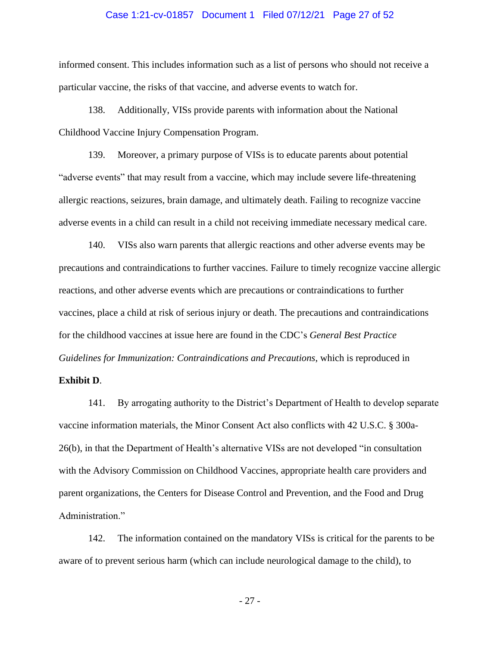#### Case 1:21-cv-01857 Document 1 Filed 07/12/21 Page 27 of 52

informed consent. This includes information such as a list of persons who should not receive a particular vaccine, the risks of that vaccine, and adverse events to watch for.

138. Additionally, VISs provide parents with information about the National Childhood Vaccine Injury Compensation Program.

139. Moreover, a primary purpose of VISs is to educate parents about potential "adverse events" that may result from a vaccine, which may include severe life-threatening allergic reactions, seizures, brain damage, and ultimately death. Failing to recognize vaccine adverse events in a child can result in a child not receiving immediate necessary medical care.

140. VISs also warn parents that allergic reactions and other adverse events may be precautions and contraindications to further vaccines. Failure to timely recognize vaccine allergic reactions, and other adverse events which are precautions or contraindications to further vaccines, place a child at risk of serious injury or death. The precautions and contraindications for the childhood vaccines at issue here are found in the CDC's *General Best Practice Guidelines for Immunization: Contraindications and Precautions*, which is reproduced in

### **Exhibit D**.

141. By arrogating authority to the District's Department of Health to develop separate vaccine information materials, the Minor Consent Act also conflicts with 42 U.S.C. § 300a-26(b), in that the Department of Health's alternative VISs are not developed "in consultation with the Advisory Commission on Childhood Vaccines, appropriate health care providers and parent organizations, the Centers for Disease Control and Prevention, and the Food and Drug Administration."

142. The information contained on the mandatory VISs is critical for the parents to be aware of to prevent serious harm (which can include neurological damage to the child), to

- 27 -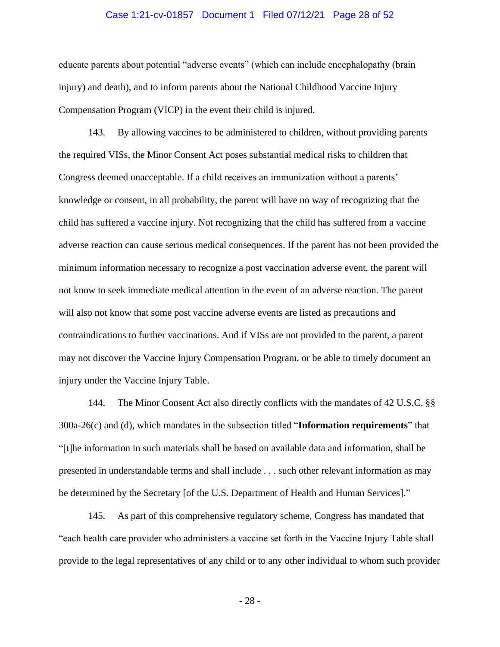#### Case 1:21-cv-01857 Document 1 Filed 07/12/21 Page 28 of 52

educate parents about potential "adverse events" (which can include encephalopathy (brain injury) and death), and to inform parents about the National Childhood Vaccine Injury Compensation Program (VICP) in the event their child is injured.

143. By allowing vaccines to be administered to children, without providing parents the required VISs, the Minor Consent Act poses substantial medical risks to children that Congress deemed unacceptable. If a child receives an immunization without a parents' knowledge or consent, in all probability, the parent will have no way of recognizing that the child has suffered a vaccine injury. Not recognizing that the child has suffered from a vaccine adverse reaction can cause serious medical consequences. If the parent has not been provided the minimum information necessary to recognize a post vaccination adverse event, the parent will not know to seek immediate medical attention in the event of an adverse reaction. The parent will also not know that some post vaccine adverse events are listed as precautions and contraindications to further vaccinations. And if VISs are not provided to the parent, a parent may not discover the Vaccine Injury Compensation Program, or be able to timely document an injury under the Vaccine Injury Table.

144. The Minor Consent Act also directly conflicts with the mandates of 42 U.S.C. §§ 300a-26(c) and (d), which mandates in the subsection titled "**Information requirements**" that "[t]he information in such materials shall be based on available data and information, shall be presented in understandable terms and shall include . . . such other relevant information as may be determined by the Secretary [of the U.S. Department of Health and Human Services]."

145. As part of this comprehensive regulatory scheme, Congress has mandated that "each health care provider who administers a vaccine set forth in the Vaccine Injury Table shall provide to the legal representatives of any child or to any other individual to whom such provider

- 28 -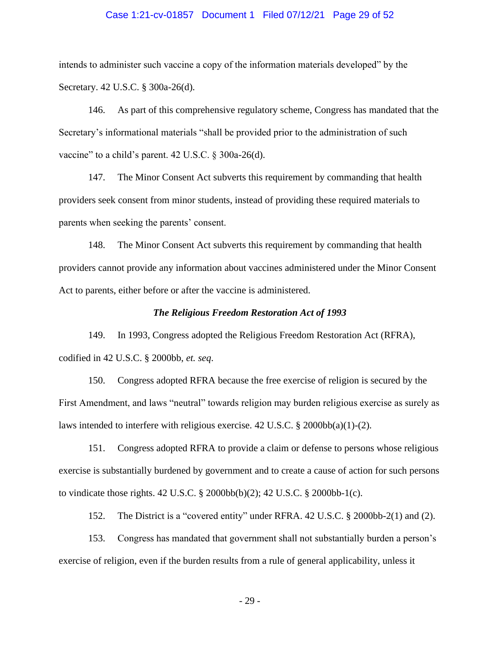#### Case 1:21-cv-01857 Document 1 Filed 07/12/21 Page 29 of 52

intends to administer such vaccine a copy of the information materials developed" by the Secretary. 42 U.S.C. § 300a-26(d).

146. As part of this comprehensive regulatory scheme, Congress has mandated that the Secretary's informational materials "shall be provided prior to the administration of such vaccine" to a child's parent. 42 U.S.C. § 300a-26(d).

147. The Minor Consent Act subverts this requirement by commanding that health providers seek consent from minor students, instead of providing these required materials to parents when seeking the parents' consent.

148. The Minor Consent Act subverts this requirement by commanding that health providers cannot provide any information about vaccines administered under the Minor Consent Act to parents, either before or after the vaccine is administered.

#### *The Religious Freedom Restoration Act of 1993*

149. In 1993, Congress adopted the Religious Freedom Restoration Act (RFRA), codified in 42 U.S.C. § 2000bb, *et. seq*.

150. Congress adopted RFRA because the free exercise of religion is secured by the First Amendment, and laws "neutral" towards religion may burden religious exercise as surely as laws intended to interfere with religious exercise.  $42 \text{ U.S.C.} \& 2000 \text{bb}(a)(1) - (2)$ .

151. Congress adopted RFRA to provide a claim or defense to persons whose religious exercise is substantially burdened by government and to create a cause of action for such persons to vindicate those rights. 42 U.S.C. § 2000bb(b)(2); 42 U.S.C. § 2000bb-1(c).

152. The District is a "covered entity" under RFRA. 42 U.S.C. § 2000bb-2(1) and (2).

153. Congress has mandated that government shall not substantially burden a person's exercise of religion, even if the burden results from a rule of general applicability, unless it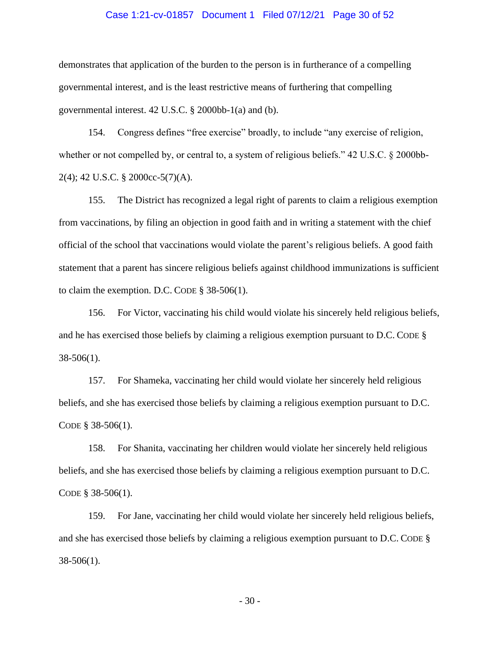#### Case 1:21-cv-01857 Document 1 Filed 07/12/21 Page 30 of 52

demonstrates that application of the burden to the person is in furtherance of a compelling governmental interest, and is the least restrictive means of furthering that compelling governmental interest. 42 U.S.C. § 2000bb-1(a) and (b).

154. Congress defines "free exercise" broadly, to include "any exercise of religion, whether or not compelled by, or central to, a system of religious beliefs." 42 U.S.C. § 2000bb-2(4); 42 U.S.C. § 2000cc-5(7)(A).

155. The District has recognized a legal right of parents to claim a religious exemption from vaccinations, by filing an objection in good faith and in writing a statement with the chief official of the school that vaccinations would violate the parent's religious beliefs. A good faith statement that a parent has sincere religious beliefs against childhood immunizations is sufficient to claim the exemption. D.C. CODE § 38-506(1).

156. For Victor, vaccinating his child would violate his sincerely held religious beliefs, and he has exercised those beliefs by claiming a religious exemption pursuant to D.C. CODE § 38-506(1).

157. For Shameka, vaccinating her child would violate her sincerely held religious beliefs, and she has exercised those beliefs by claiming a religious exemption pursuant to D.C. CODE § 38-506(1).

158. For Shanita, vaccinating her children would violate her sincerely held religious beliefs, and she has exercised those beliefs by claiming a religious exemption pursuant to D.C. CODE § 38-506(1).

159. For Jane, vaccinating her child would violate her sincerely held religious beliefs, and she has exercised those beliefs by claiming a religious exemption pursuant to D.C. CODE § 38-506(1).

- 30 -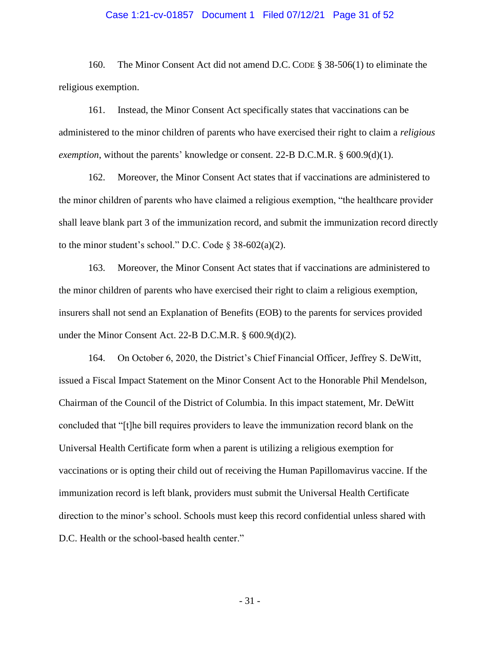#### Case 1:21-cv-01857 Document 1 Filed 07/12/21 Page 31 of 52

160. The Minor Consent Act did not amend D.C. CODE § 38-506(1) to eliminate the religious exemption.

161. Instead, the Minor Consent Act specifically states that vaccinations can be administered to the minor children of parents who have exercised their right to claim a *religious exemption*, without the parents' knowledge or consent. 22-B D.C.M.R. § 600.9(d)(1).

162. Moreover, the Minor Consent Act states that if vaccinations are administered to the minor children of parents who have claimed a religious exemption, "the healthcare provider shall leave blank part 3 of the immunization record, and submit the immunization record directly to the minor student's school." D.C. Code  $\S$  38-602(a)(2).

163. Moreover, the Minor Consent Act states that if vaccinations are administered to the minor children of parents who have exercised their right to claim a religious exemption, insurers shall not send an Explanation of Benefits (EOB) to the parents for services provided under the Minor Consent Act. 22-B D.C.M.R. § 600.9(d)(2).

164. On October 6, 2020, the District's Chief Financial Officer, Jeffrey S. DeWitt, issued a Fiscal Impact Statement on the Minor Consent Act to the Honorable Phil Mendelson, Chairman of the Council of the District of Columbia. In this impact statement, Mr. DeWitt concluded that "[t]he bill requires providers to leave the immunization record blank on the Universal Health Certificate form when a parent is utilizing a religious exemption for vaccinations or is opting their child out of receiving the Human Papillomavirus vaccine. If the immunization record is left blank, providers must submit the Universal Health Certificate direction to the minor's school. Schools must keep this record confidential unless shared with D.C. Health or the school-based health center."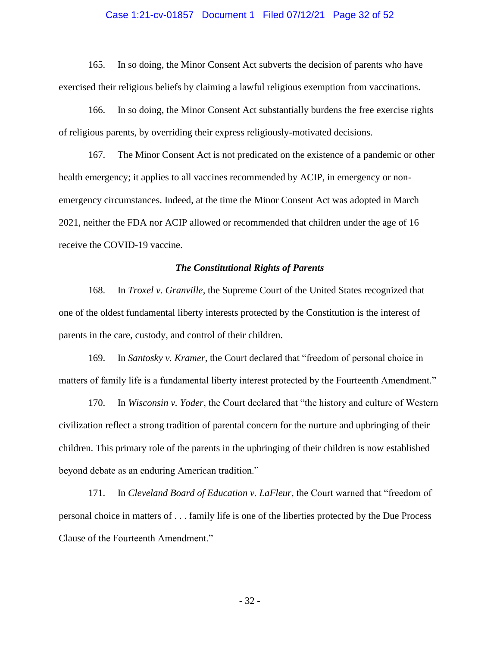#### Case 1:21-cv-01857 Document 1 Filed 07/12/21 Page 32 of 52

165. In so doing, the Minor Consent Act subverts the decision of parents who have exercised their religious beliefs by claiming a lawful religious exemption from vaccinations.

166. In so doing, the Minor Consent Act substantially burdens the free exercise rights of religious parents, by overriding their express religiously-motivated decisions.

167. The Minor Consent Act is not predicated on the existence of a pandemic or other health emergency; it applies to all vaccines recommended by ACIP, in emergency or nonemergency circumstances. Indeed, at the time the Minor Consent Act was adopted in March 2021, neither the FDA nor ACIP allowed or recommended that children under the age of 16 receive the COVID-19 vaccine.

#### *The Constitutional Rights of Parents*

168. In *Troxel v. Granville*, the Supreme Court of the United States recognized that one of the oldest fundamental liberty interests protected by the Constitution is the interest of parents in the care, custody, and control of their children.

169. In *Santosky v. Kramer*, the Court declared that "freedom of personal choice in matters of family life is a fundamental liberty interest protected by the Fourteenth Amendment."

170. In *Wisconsin v. Yoder*, the Court declared that "the history and culture of Western civilization reflect a strong tradition of parental concern for the nurture and upbringing of their children. This primary role of the parents in the upbringing of their children is now established beyond debate as an enduring American tradition."

171. In *Cleveland Board of Education v. LaFleur*, the Court warned that "freedom of personal choice in matters of . . . family life is one of the liberties protected by the Due Process Clause of the Fourteenth Amendment."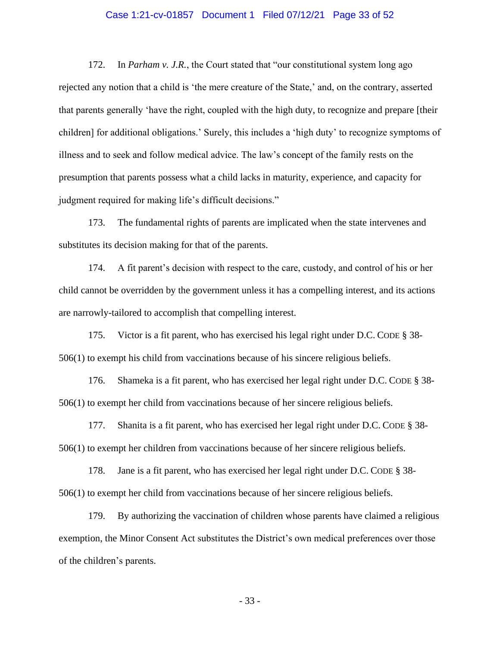#### Case 1:21-cv-01857 Document 1 Filed 07/12/21 Page 33 of 52

172. In *Parham v. J.R.*, the Court stated that "our constitutional system long ago rejected any notion that a child is 'the mere creature of the State,' and, on the contrary, asserted that parents generally 'have the right, coupled with the high duty, to recognize and prepare [their children] for additional obligations.' Surely, this includes a 'high duty' to recognize symptoms of illness and to seek and follow medical advice. The law's concept of the family rests on the presumption that parents possess what a child lacks in maturity, experience, and capacity for judgment required for making life's difficult decisions."

173. The fundamental rights of parents are implicated when the state intervenes and substitutes its decision making for that of the parents.

174. A fit parent's decision with respect to the care, custody, and control of his or her child cannot be overridden by the government unless it has a compelling interest, and its actions are narrowly-tailored to accomplish that compelling interest.

175. Victor is a fit parent, who has exercised his legal right under D.C. CODE § 38- 506(1) to exempt his child from vaccinations because of his sincere religious beliefs.

176. Shameka is a fit parent, who has exercised her legal right under D.C. CODE § 38- 506(1) to exempt her child from vaccinations because of her sincere religious beliefs.

177. Shanita is a fit parent, who has exercised her legal right under D.C. CODE § 38- 506(1) to exempt her children from vaccinations because of her sincere religious beliefs.

178. Jane is a fit parent, who has exercised her legal right under D.C. CODE § 38- 506(1) to exempt her child from vaccinations because of her sincere religious beliefs.

179. By authorizing the vaccination of children whose parents have claimed a religious exemption, the Minor Consent Act substitutes the District's own medical preferences over those of the children's parents.

- 33 -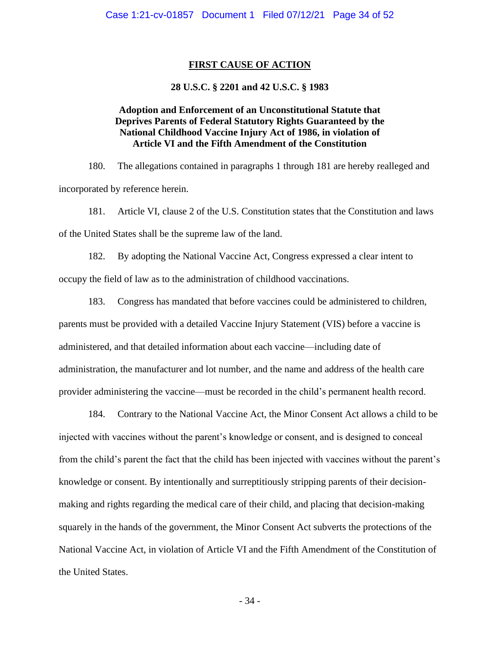### **FIRST CAUSE OF ACTION**

### **28 U.S.C. § 2201 and 42 U.S.C. § 1983**

# **Adoption and Enforcement of an Unconstitutional Statute that Deprives Parents of Federal Statutory Rights Guaranteed by the National Childhood Vaccine Injury Act of 1986, in violation of Article VI and the Fifth Amendment of the Constitution**

180. The allegations contained in paragraphs 1 through 181 are hereby realleged and incorporated by reference herein.

181. Article VI, clause 2 of the U.S. Constitution states that the Constitution and laws of the United States shall be the supreme law of the land.

182. By adopting the National Vaccine Act, Congress expressed a clear intent to occupy the field of law as to the administration of childhood vaccinations.

183. Congress has mandated that before vaccines could be administered to children, parents must be provided with a detailed Vaccine Injury Statement (VIS) before a vaccine is administered, and that detailed information about each vaccine—including date of administration, the manufacturer and lot number, and the name and address of the health care provider administering the vaccine—must be recorded in the child's permanent health record.

184. Contrary to the National Vaccine Act, the Minor Consent Act allows a child to be injected with vaccines without the parent's knowledge or consent, and is designed to conceal from the child's parent the fact that the child has been injected with vaccines without the parent's knowledge or consent. By intentionally and surreptitiously stripping parents of their decisionmaking and rights regarding the medical care of their child, and placing that decision-making squarely in the hands of the government, the Minor Consent Act subverts the protections of the National Vaccine Act, in violation of Article VI and the Fifth Amendment of the Constitution of the United States.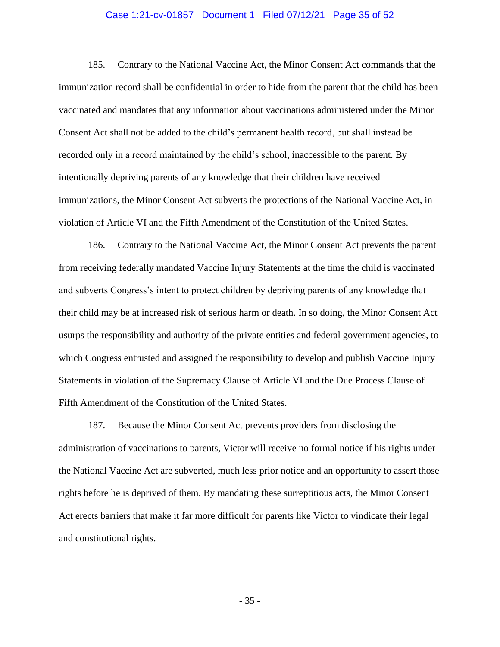#### Case 1:21-cv-01857 Document 1 Filed 07/12/21 Page 35 of 52

185. Contrary to the National Vaccine Act, the Minor Consent Act commands that the immunization record shall be confidential in order to hide from the parent that the child has been vaccinated and mandates that any information about vaccinations administered under the Minor Consent Act shall not be added to the child's permanent health record, but shall instead be recorded only in a record maintained by the child's school, inaccessible to the parent. By intentionally depriving parents of any knowledge that their children have received immunizations, the Minor Consent Act subverts the protections of the National Vaccine Act, in violation of Article VI and the Fifth Amendment of the Constitution of the United States.

186. Contrary to the National Vaccine Act, the Minor Consent Act prevents the parent from receiving federally mandated Vaccine Injury Statements at the time the child is vaccinated and subverts Congress's intent to protect children by depriving parents of any knowledge that their child may be at increased risk of serious harm or death. In so doing, the Minor Consent Act usurps the responsibility and authority of the private entities and federal government agencies, to which Congress entrusted and assigned the responsibility to develop and publish Vaccine Injury Statements in violation of the Supremacy Clause of Article VI and the Due Process Clause of Fifth Amendment of the Constitution of the United States.

187. Because the Minor Consent Act prevents providers from disclosing the administration of vaccinations to parents, Victor will receive no formal notice if his rights under the National Vaccine Act are subverted, much less prior notice and an opportunity to assert those rights before he is deprived of them. By mandating these surreptitious acts, the Minor Consent Act erects barriers that make it far more difficult for parents like Victor to vindicate their legal and constitutional rights.

- 35 -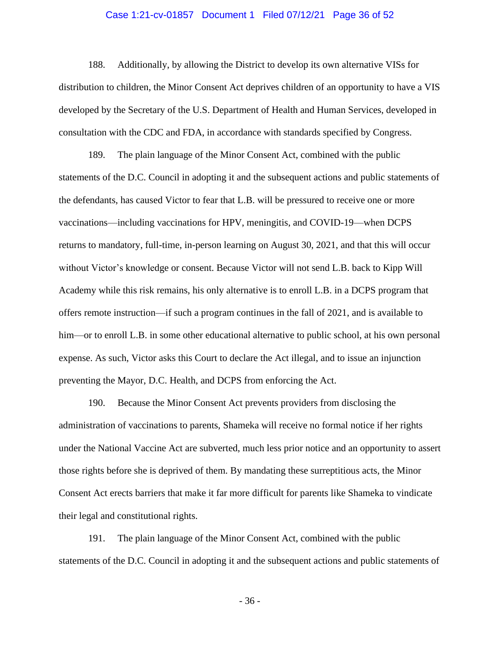#### Case 1:21-cv-01857 Document 1 Filed 07/12/21 Page 36 of 52

188. Additionally, by allowing the District to develop its own alternative VISs for distribution to children, the Minor Consent Act deprives children of an opportunity to have a VIS developed by the Secretary of the U.S. Department of Health and Human Services, developed in consultation with the CDC and FDA, in accordance with standards specified by Congress.

189. The plain language of the Minor Consent Act, combined with the public statements of the D.C. Council in adopting it and the subsequent actions and public statements of the defendants, has caused Victor to fear that L.B. will be pressured to receive one or more vaccinations—including vaccinations for HPV, meningitis, and COVID-19—when DCPS returns to mandatory, full-time, in-person learning on August 30, 2021, and that this will occur without Victor's knowledge or consent. Because Victor will not send L.B. back to Kipp Will Academy while this risk remains, his only alternative is to enroll L.B. in a DCPS program that offers remote instruction—if such a program continues in the fall of 2021, and is available to him—or to enroll L.B. in some other educational alternative to public school, at his own personal expense. As such, Victor asks this Court to declare the Act illegal, and to issue an injunction preventing the Mayor, D.C. Health, and DCPS from enforcing the Act.

190. Because the Minor Consent Act prevents providers from disclosing the administration of vaccinations to parents, Shameka will receive no formal notice if her rights under the National Vaccine Act are subverted, much less prior notice and an opportunity to assert those rights before she is deprived of them. By mandating these surreptitious acts, the Minor Consent Act erects barriers that make it far more difficult for parents like Shameka to vindicate their legal and constitutional rights.

191. The plain language of the Minor Consent Act, combined with the public statements of the D.C. Council in adopting it and the subsequent actions and public statements of

- 36 -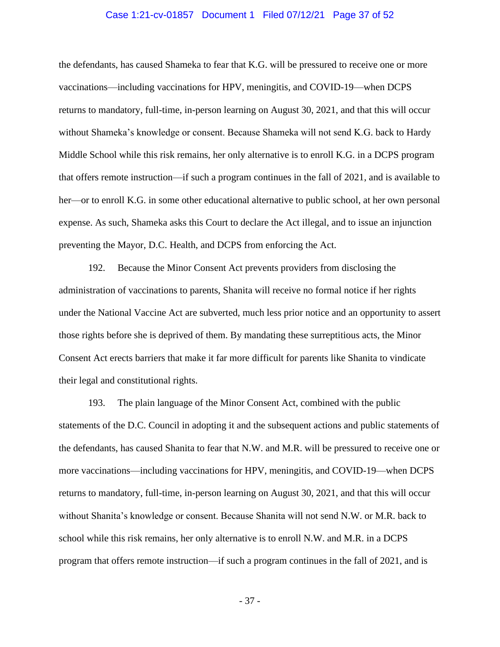#### Case 1:21-cv-01857 Document 1 Filed 07/12/21 Page 37 of 52

the defendants, has caused Shameka to fear that K.G. will be pressured to receive one or more vaccinations—including vaccinations for HPV, meningitis, and COVID-19—when DCPS returns to mandatory, full-time, in-person learning on August 30, 2021, and that this will occur without Shameka's knowledge or consent. Because Shameka will not send K.G. back to Hardy Middle School while this risk remains, her only alternative is to enroll K.G. in a DCPS program that offers remote instruction—if such a program continues in the fall of 2021, and is available to her—or to enroll K.G. in some other educational alternative to public school, at her own personal expense. As such, Shameka asks this Court to declare the Act illegal, and to issue an injunction preventing the Mayor, D.C. Health, and DCPS from enforcing the Act.

192. Because the Minor Consent Act prevents providers from disclosing the administration of vaccinations to parents, Shanita will receive no formal notice if her rights under the National Vaccine Act are subverted, much less prior notice and an opportunity to assert those rights before she is deprived of them. By mandating these surreptitious acts, the Minor Consent Act erects barriers that make it far more difficult for parents like Shanita to vindicate their legal and constitutional rights.

193. The plain language of the Minor Consent Act, combined with the public statements of the D.C. Council in adopting it and the subsequent actions and public statements of the defendants, has caused Shanita to fear that N.W. and M.R. will be pressured to receive one or more vaccinations—including vaccinations for HPV, meningitis, and COVID-19—when DCPS returns to mandatory, full-time, in-person learning on August 30, 2021, and that this will occur without Shanita's knowledge or consent. Because Shanita will not send N.W. or M.R. back to school while this risk remains, her only alternative is to enroll N.W. and M.R. in a DCPS program that offers remote instruction—if such a program continues in the fall of 2021, and is

- 37 -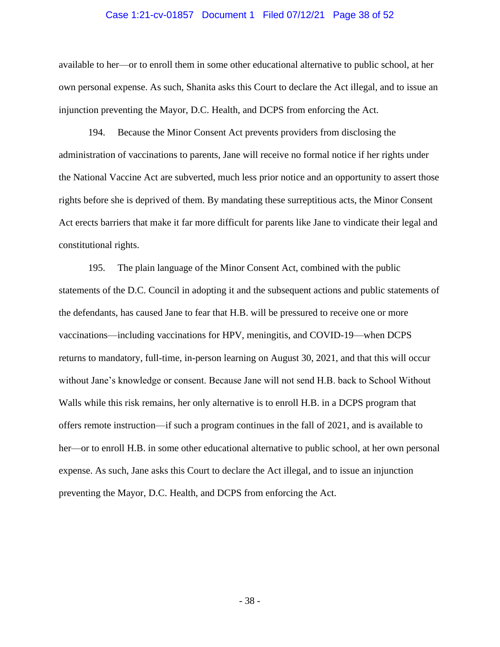#### Case 1:21-cv-01857 Document 1 Filed 07/12/21 Page 38 of 52

available to her—or to enroll them in some other educational alternative to public school, at her own personal expense. As such, Shanita asks this Court to declare the Act illegal, and to issue an injunction preventing the Mayor, D.C. Health, and DCPS from enforcing the Act.

194. Because the Minor Consent Act prevents providers from disclosing the administration of vaccinations to parents, Jane will receive no formal notice if her rights under the National Vaccine Act are subverted, much less prior notice and an opportunity to assert those rights before she is deprived of them. By mandating these surreptitious acts, the Minor Consent Act erects barriers that make it far more difficult for parents like Jane to vindicate their legal and constitutional rights.

195. The plain language of the Minor Consent Act, combined with the public statements of the D.C. Council in adopting it and the subsequent actions and public statements of the defendants, has caused Jane to fear that H.B. will be pressured to receive one or more vaccinations—including vaccinations for HPV, meningitis, and COVID-19—when DCPS returns to mandatory, full-time, in-person learning on August 30, 2021, and that this will occur without Jane's knowledge or consent. Because Jane will not send H.B. back to School Without Walls while this risk remains, her only alternative is to enroll H.B. in a DCPS program that offers remote instruction—if such a program continues in the fall of 2021, and is available to her—or to enroll H.B. in some other educational alternative to public school, at her own personal expense. As such, Jane asks this Court to declare the Act illegal, and to issue an injunction preventing the Mayor, D.C. Health, and DCPS from enforcing the Act.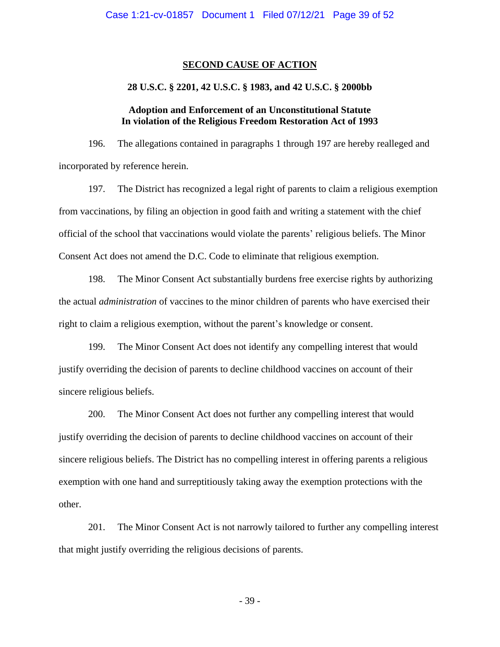#### **SECOND CAUSE OF ACTION**

### **28 U.S.C. § 2201, 42 U.S.C. § 1983, and 42 U.S.C. § 2000bb**

## **Adoption and Enforcement of an Unconstitutional Statute In violation of the Religious Freedom Restoration Act of 1993**

196. The allegations contained in paragraphs 1 through 197 are hereby realleged and incorporated by reference herein.

197. The District has recognized a legal right of parents to claim a religious exemption from vaccinations, by filing an objection in good faith and writing a statement with the chief official of the school that vaccinations would violate the parents' religious beliefs. The Minor Consent Act does not amend the D.C. Code to eliminate that religious exemption.

198. The Minor Consent Act substantially burdens free exercise rights by authorizing the actual *administration* of vaccines to the minor children of parents who have exercised their right to claim a religious exemption, without the parent's knowledge or consent.

199. The Minor Consent Act does not identify any compelling interest that would justify overriding the decision of parents to decline childhood vaccines on account of their sincere religious beliefs.

200. The Minor Consent Act does not further any compelling interest that would justify overriding the decision of parents to decline childhood vaccines on account of their sincere religious beliefs. The District has no compelling interest in offering parents a religious exemption with one hand and surreptitiously taking away the exemption protections with the other.

201. The Minor Consent Act is not narrowly tailored to further any compelling interest that might justify overriding the religious decisions of parents.

- 39 -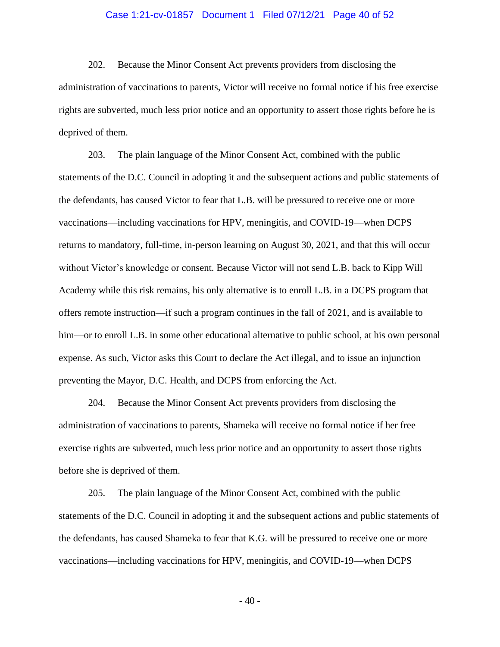#### Case 1:21-cv-01857 Document 1 Filed 07/12/21 Page 40 of 52

202. Because the Minor Consent Act prevents providers from disclosing the administration of vaccinations to parents, Victor will receive no formal notice if his free exercise rights are subverted, much less prior notice and an opportunity to assert those rights before he is deprived of them.

203. The plain language of the Minor Consent Act, combined with the public statements of the D.C. Council in adopting it and the subsequent actions and public statements of the defendants, has caused Victor to fear that L.B. will be pressured to receive one or more vaccinations—including vaccinations for HPV, meningitis, and COVID-19—when DCPS returns to mandatory, full-time, in-person learning on August 30, 2021, and that this will occur without Victor's knowledge or consent. Because Victor will not send L.B. back to Kipp Will Academy while this risk remains, his only alternative is to enroll L.B. in a DCPS program that offers remote instruction—if such a program continues in the fall of 2021, and is available to him—or to enroll L.B. in some other educational alternative to public school, at his own personal expense. As such, Victor asks this Court to declare the Act illegal, and to issue an injunction preventing the Mayor, D.C. Health, and DCPS from enforcing the Act.

204. Because the Minor Consent Act prevents providers from disclosing the administration of vaccinations to parents, Shameka will receive no formal notice if her free exercise rights are subverted, much less prior notice and an opportunity to assert those rights before she is deprived of them.

205. The plain language of the Minor Consent Act, combined with the public statements of the D.C. Council in adopting it and the subsequent actions and public statements of the defendants, has caused Shameka to fear that K.G. will be pressured to receive one or more vaccinations—including vaccinations for HPV, meningitis, and COVID-19—when DCPS

- 40 -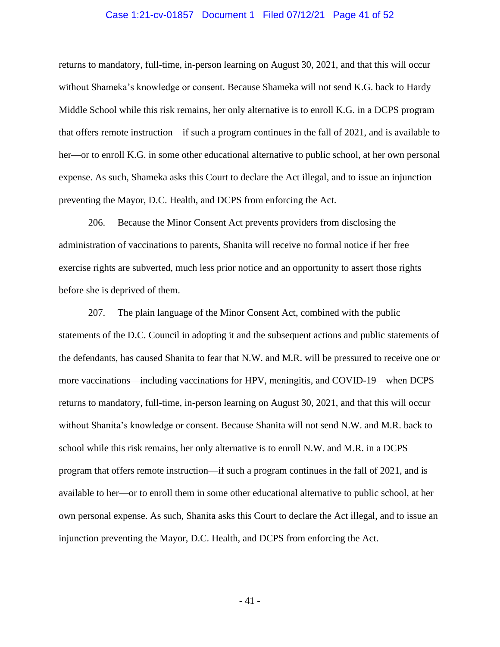#### Case 1:21-cv-01857 Document 1 Filed 07/12/21 Page 41 of 52

returns to mandatory, full-time, in-person learning on August 30, 2021, and that this will occur without Shameka's knowledge or consent. Because Shameka will not send K.G. back to Hardy Middle School while this risk remains, her only alternative is to enroll K.G. in a DCPS program that offers remote instruction—if such a program continues in the fall of 2021, and is available to her—or to enroll K.G. in some other educational alternative to public school, at her own personal expense. As such, Shameka asks this Court to declare the Act illegal, and to issue an injunction preventing the Mayor, D.C. Health, and DCPS from enforcing the Act.

206. Because the Minor Consent Act prevents providers from disclosing the administration of vaccinations to parents, Shanita will receive no formal notice if her free exercise rights are subverted, much less prior notice and an opportunity to assert those rights before she is deprived of them.

207. The plain language of the Minor Consent Act, combined with the public statements of the D.C. Council in adopting it and the subsequent actions and public statements of the defendants, has caused Shanita to fear that N.W. and M.R. will be pressured to receive one or more vaccinations—including vaccinations for HPV, meningitis, and COVID-19—when DCPS returns to mandatory, full-time, in-person learning on August 30, 2021, and that this will occur without Shanita's knowledge or consent. Because Shanita will not send N.W. and M.R. back to school while this risk remains, her only alternative is to enroll N.W. and M.R. in a DCPS program that offers remote instruction—if such a program continues in the fall of 2021, and is available to her—or to enroll them in some other educational alternative to public school, at her own personal expense. As such, Shanita asks this Court to declare the Act illegal, and to issue an injunction preventing the Mayor, D.C. Health, and DCPS from enforcing the Act.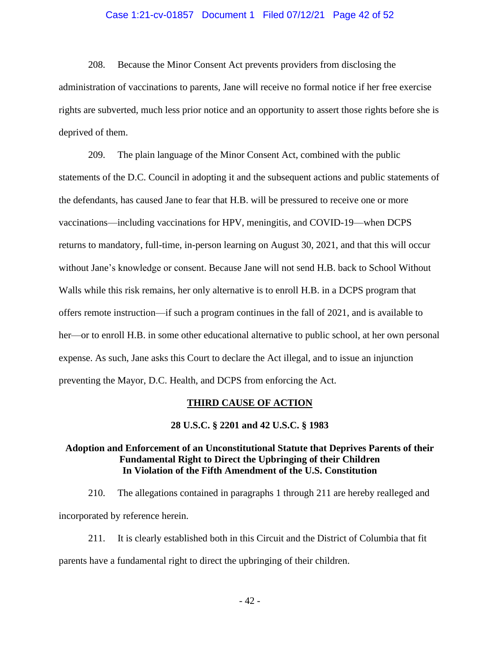### Case 1:21-cv-01857 Document 1 Filed 07/12/21 Page 42 of 52

208. Because the Minor Consent Act prevents providers from disclosing the administration of vaccinations to parents, Jane will receive no formal notice if her free exercise rights are subverted, much less prior notice and an opportunity to assert those rights before she is deprived of them.

209. The plain language of the Minor Consent Act, combined with the public statements of the D.C. Council in adopting it and the subsequent actions and public statements of the defendants, has caused Jane to fear that H.B. will be pressured to receive one or more vaccinations—including vaccinations for HPV, meningitis, and COVID-19—when DCPS returns to mandatory, full-time, in-person learning on August 30, 2021, and that this will occur without Jane's knowledge or consent. Because Jane will not send H.B. back to School Without Walls while this risk remains, her only alternative is to enroll H.B. in a DCPS program that offers remote instruction—if such a program continues in the fall of 2021, and is available to her—or to enroll H.B. in some other educational alternative to public school, at her own personal expense. As such, Jane asks this Court to declare the Act illegal, and to issue an injunction preventing the Mayor, D.C. Health, and DCPS from enforcing the Act.

#### **THIRD CAUSE OF ACTION**

#### **28 U.S.C. § 2201 and 42 U.S.C. § 1983**

### **Adoption and Enforcement of an Unconstitutional Statute that Deprives Parents of their Fundamental Right to Direct the Upbringing of their Children In Violation of the Fifth Amendment of the U.S. Constitution**

210. The allegations contained in paragraphs 1 through 211 are hereby realleged and incorporated by reference herein.

211. It is clearly established both in this Circuit and the District of Columbia that fit parents have a fundamental right to direct the upbringing of their children.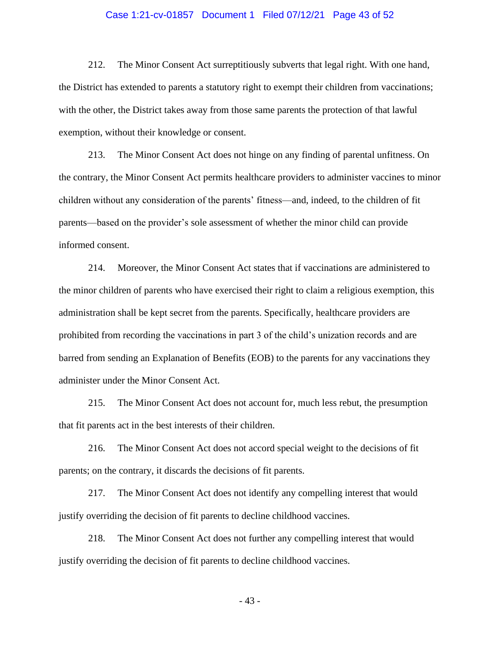#### Case 1:21-cv-01857 Document 1 Filed 07/12/21 Page 43 of 52

212. The Minor Consent Act surreptitiously subverts that legal right. With one hand, the District has extended to parents a statutory right to exempt their children from vaccinations; with the other, the District takes away from those same parents the protection of that lawful exemption, without their knowledge or consent.

213. The Minor Consent Act does not hinge on any finding of parental unfitness. On the contrary, the Minor Consent Act permits healthcare providers to administer vaccines to minor children without any consideration of the parents' fitness—and, indeed, to the children of fit parents—based on the provider's sole assessment of whether the minor child can provide informed consent.

214. Moreover, the Minor Consent Act states that if vaccinations are administered to the minor children of parents who have exercised their right to claim a religious exemption, this administration shall be kept secret from the parents. Specifically, healthcare providers are prohibited from recording the vaccinations in part 3 of the child's unization records and are barred from sending an Explanation of Benefits (EOB) to the parents for any vaccinations they administer under the Minor Consent Act.

215. The Minor Consent Act does not account for, much less rebut, the presumption that fit parents act in the best interests of their children.

216. The Minor Consent Act does not accord special weight to the decisions of fit parents; on the contrary, it discards the decisions of fit parents.

217. The Minor Consent Act does not identify any compelling interest that would justify overriding the decision of fit parents to decline childhood vaccines.

218. The Minor Consent Act does not further any compelling interest that would justify overriding the decision of fit parents to decline childhood vaccines.

- 43 -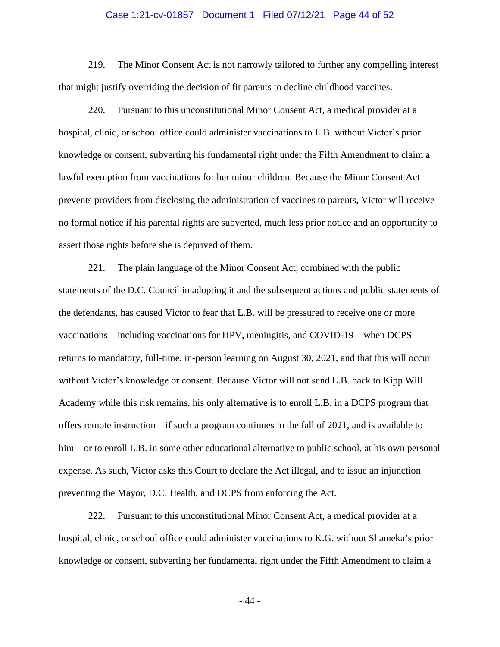#### Case 1:21-cv-01857 Document 1 Filed 07/12/21 Page 44 of 52

219. The Minor Consent Act is not narrowly tailored to further any compelling interest that might justify overriding the decision of fit parents to decline childhood vaccines.

220. Pursuant to this unconstitutional Minor Consent Act, a medical provider at a hospital, clinic, or school office could administer vaccinations to L.B. without Victor's prior knowledge or consent, subverting his fundamental right under the Fifth Amendment to claim a lawful exemption from vaccinations for her minor children. Because the Minor Consent Act prevents providers from disclosing the administration of vaccines to parents, Victor will receive no formal notice if his parental rights are subverted, much less prior notice and an opportunity to assert those rights before she is deprived of them.

221. The plain language of the Minor Consent Act, combined with the public statements of the D.C. Council in adopting it and the subsequent actions and public statements of the defendants, has caused Victor to fear that L.B. will be pressured to receive one or more vaccinations—including vaccinations for HPV, meningitis, and COVID-19—when DCPS returns to mandatory, full-time, in-person learning on August 30, 2021, and that this will occur without Victor's knowledge or consent. Because Victor will not send L.B. back to Kipp Will Academy while this risk remains, his only alternative is to enroll L.B. in a DCPS program that offers remote instruction—if such a program continues in the fall of 2021, and is available to him—or to enroll L.B. in some other educational alternative to public school, at his own personal expense. As such, Victor asks this Court to declare the Act illegal, and to issue an injunction preventing the Mayor, D.C. Health, and DCPS from enforcing the Act.

222. Pursuant to this unconstitutional Minor Consent Act, a medical provider at a hospital, clinic, or school office could administer vaccinations to K.G. without Shameka's prior knowledge or consent, subverting her fundamental right under the Fifth Amendment to claim a

- 44 -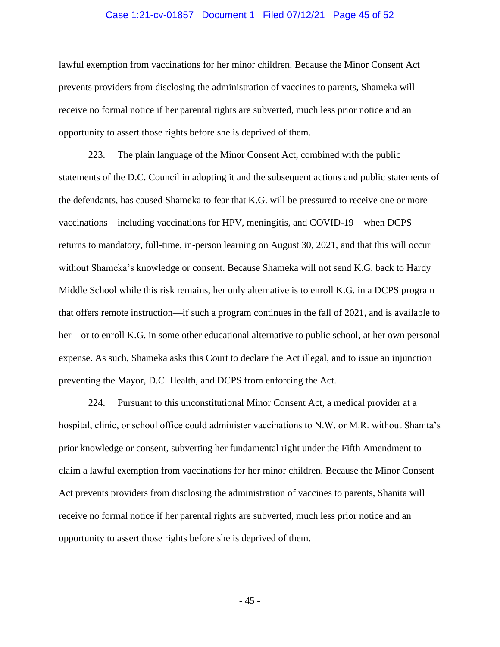#### Case 1:21-cv-01857 Document 1 Filed 07/12/21 Page 45 of 52

lawful exemption from vaccinations for her minor children. Because the Minor Consent Act prevents providers from disclosing the administration of vaccines to parents, Shameka will receive no formal notice if her parental rights are subverted, much less prior notice and an opportunity to assert those rights before she is deprived of them.

223. The plain language of the Minor Consent Act, combined with the public statements of the D.C. Council in adopting it and the subsequent actions and public statements of the defendants, has caused Shameka to fear that K.G. will be pressured to receive one or more vaccinations—including vaccinations for HPV, meningitis, and COVID-19—when DCPS returns to mandatory, full-time, in-person learning on August 30, 2021, and that this will occur without Shameka's knowledge or consent. Because Shameka will not send K.G. back to Hardy Middle School while this risk remains, her only alternative is to enroll K.G. in a DCPS program that offers remote instruction—if such a program continues in the fall of 2021, and is available to her—or to enroll K.G. in some other educational alternative to public school, at her own personal expense. As such, Shameka asks this Court to declare the Act illegal, and to issue an injunction preventing the Mayor, D.C. Health, and DCPS from enforcing the Act.

224. Pursuant to this unconstitutional Minor Consent Act, a medical provider at a hospital, clinic, or school office could administer vaccinations to N.W. or M.R. without Shanita's prior knowledge or consent, subverting her fundamental right under the Fifth Amendment to claim a lawful exemption from vaccinations for her minor children. Because the Minor Consent Act prevents providers from disclosing the administration of vaccines to parents, Shanita will receive no formal notice if her parental rights are subverted, much less prior notice and an opportunity to assert those rights before she is deprived of them.

- 45 -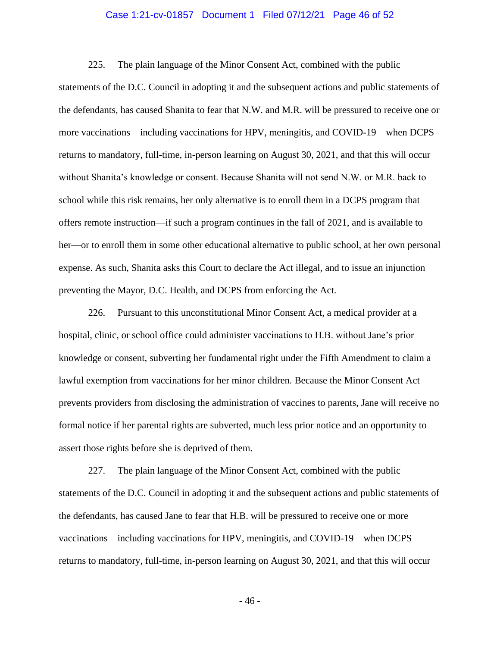#### Case 1:21-cv-01857 Document 1 Filed 07/12/21 Page 46 of 52

225. The plain language of the Minor Consent Act, combined with the public statements of the D.C. Council in adopting it and the subsequent actions and public statements of the defendants, has caused Shanita to fear that N.W. and M.R. will be pressured to receive one or more vaccinations—including vaccinations for HPV, meningitis, and COVID-19—when DCPS returns to mandatory, full-time, in-person learning on August 30, 2021, and that this will occur without Shanita's knowledge or consent. Because Shanita will not send N.W. or M.R. back to school while this risk remains, her only alternative is to enroll them in a DCPS program that offers remote instruction—if such a program continues in the fall of 2021, and is available to her—or to enroll them in some other educational alternative to public school, at her own personal expense. As such, Shanita asks this Court to declare the Act illegal, and to issue an injunction preventing the Mayor, D.C. Health, and DCPS from enforcing the Act.

226. Pursuant to this unconstitutional Minor Consent Act, a medical provider at a hospital, clinic, or school office could administer vaccinations to H.B. without Jane's prior knowledge or consent, subverting her fundamental right under the Fifth Amendment to claim a lawful exemption from vaccinations for her minor children. Because the Minor Consent Act prevents providers from disclosing the administration of vaccines to parents, Jane will receive no formal notice if her parental rights are subverted, much less prior notice and an opportunity to assert those rights before she is deprived of them.

227. The plain language of the Minor Consent Act, combined with the public statements of the D.C. Council in adopting it and the subsequent actions and public statements of the defendants, has caused Jane to fear that H.B. will be pressured to receive one or more vaccinations—including vaccinations for HPV, meningitis, and COVID-19—when DCPS returns to mandatory, full-time, in-person learning on August 30, 2021, and that this will occur

- 46 -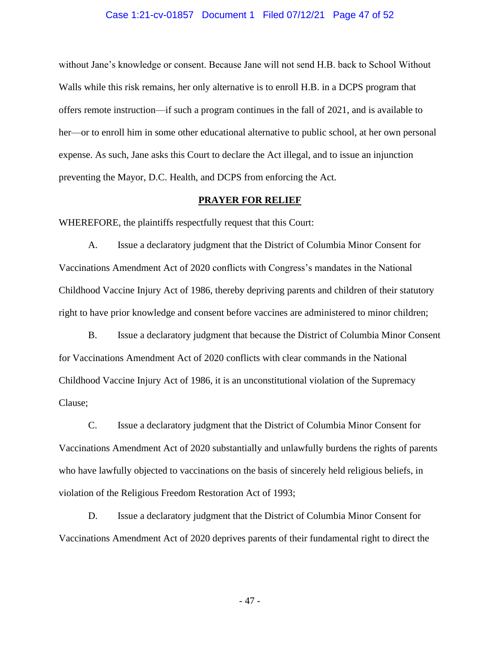#### Case 1:21-cv-01857 Document 1 Filed 07/12/21 Page 47 of 52

without Jane's knowledge or consent. Because Jane will not send H.B. back to School Without Walls while this risk remains, her only alternative is to enroll H.B. in a DCPS program that offers remote instruction—if such a program continues in the fall of 2021, and is available to her—or to enroll him in some other educational alternative to public school, at her own personal expense. As such, Jane asks this Court to declare the Act illegal, and to issue an injunction preventing the Mayor, D.C. Health, and DCPS from enforcing the Act.

#### **PRAYER FOR RELIEF**

WHEREFORE, the plaintiffs respectfully request that this Court:

A. Issue a declaratory judgment that the District of Columbia Minor Consent for Vaccinations Amendment Act of 2020 conflicts with Congress's mandates in the National Childhood Vaccine Injury Act of 1986, thereby depriving parents and children of their statutory right to have prior knowledge and consent before vaccines are administered to minor children;

B. Issue a declaratory judgment that because the District of Columbia Minor Consent for Vaccinations Amendment Act of 2020 conflicts with clear commands in the National Childhood Vaccine Injury Act of 1986, it is an unconstitutional violation of the Supremacy Clause;

C. Issue a declaratory judgment that the District of Columbia Minor Consent for Vaccinations Amendment Act of 2020 substantially and unlawfully burdens the rights of parents who have lawfully objected to vaccinations on the basis of sincerely held religious beliefs, in violation of the Religious Freedom Restoration Act of 1993;

D. Issue a declaratory judgment that the District of Columbia Minor Consent for Vaccinations Amendment Act of 2020 deprives parents of their fundamental right to direct the

- 47 -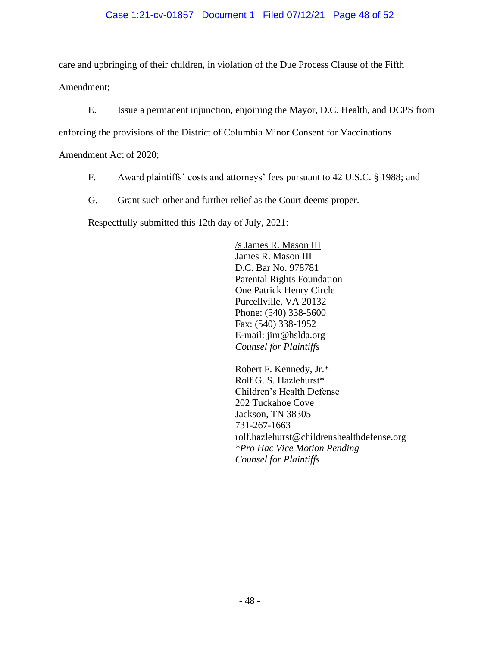# Case 1:21-cv-01857 Document 1 Filed 07/12/21 Page 48 of 52

care and upbringing of their children, in violation of the Due Process Clause of the Fifth Amendment;

E. Issue a permanent injunction, enjoining the Mayor, D.C. Health, and DCPS from

enforcing the provisions of the District of Columbia Minor Consent for Vaccinations

Amendment Act of 2020;

- F. Award plaintiffs' costs and attorneys' fees pursuant to 42 U.S.C. § 1988; and
- G. Grant such other and further relief as the Court deems proper.

Respectfully submitted this 12th day of July, 2021:

/s James R. Mason III James R. Mason III D.C. Bar No. 978781 Parental Rights Foundation One Patrick Henry Circle Purcellville, VA 20132 Phone: (540) 338-5600 Fax: (540) 338-1952 E-mail: jim@hslda.org *Counsel for Plaintiffs*

Robert F. Kennedy, Jr.\* Rolf G. S. Hazlehurst\* Children's Health Defense 202 Tuckahoe Cove Jackson, TN 38305 731-267-1663 rolf.hazlehurst@childrenshealthdefense.org *\*Pro Hac Vice Motion Pending Counsel for Plaintiffs*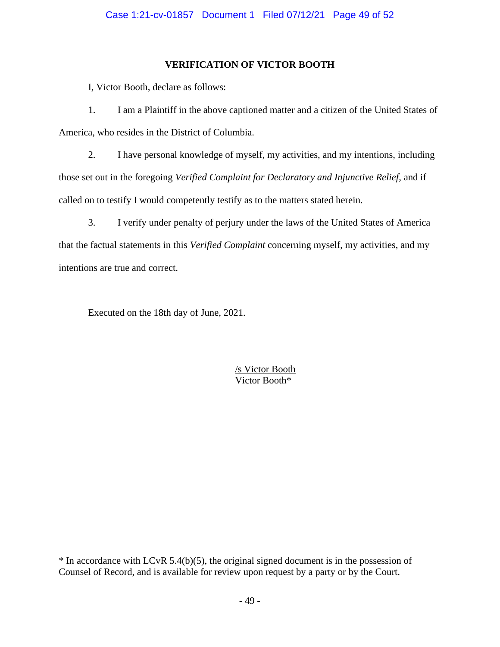# **VERIFICATION OF VICTOR BOOTH**

I, Victor Booth, declare as follows:

1. I am a Plaintiff in the above captioned matter and a citizen of the United States of America, who resides in the District of Columbia.

2. I have personal knowledge of myself, my activities, and my intentions, including those set out in the foregoing *Verified Complaint for Declaratory and Injunctive Relief*, and if called on to testify I would competently testify as to the matters stated herein.

3. I verify under penalty of perjury under the laws of the United States of America that the factual statements in this *Verified Complaint* concerning myself, my activities, and my intentions are true and correct.

Executed on the 18th day of June, 2021.

/s Victor Booth Victor Booth\*

\* In accordance with LCvR 5.4(b)(5), the original signed document is in the possession of Counsel of Record, and is available for review upon request by a party or by the Court.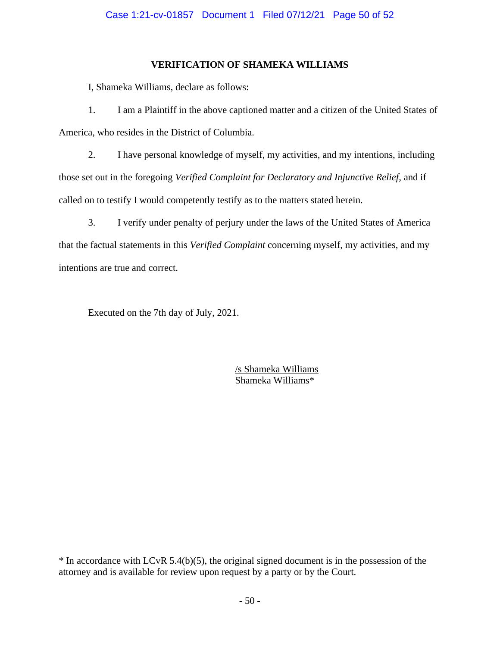## **VERIFICATION OF SHAMEKA WILLIAMS**

I, Shameka Williams, declare as follows:

1. I am a Plaintiff in the above captioned matter and a citizen of the United States of America, who resides in the District of Columbia.

2. I have personal knowledge of myself, my activities, and my intentions, including those set out in the foregoing *Verified Complaint for Declaratory and Injunctive Relief*, and if called on to testify I would competently testify as to the matters stated herein.

3. I verify under penalty of perjury under the laws of the United States of America that the factual statements in this *Verified Complaint* concerning myself, my activities, and my intentions are true and correct.

Executed on the 7th day of July, 2021.

/s Shameka Williams Shameka Williams\*

\* In accordance with LCvR 5.4(b)(5), the original signed document is in the possession of the attorney and is available for review upon request by a party or by the Court.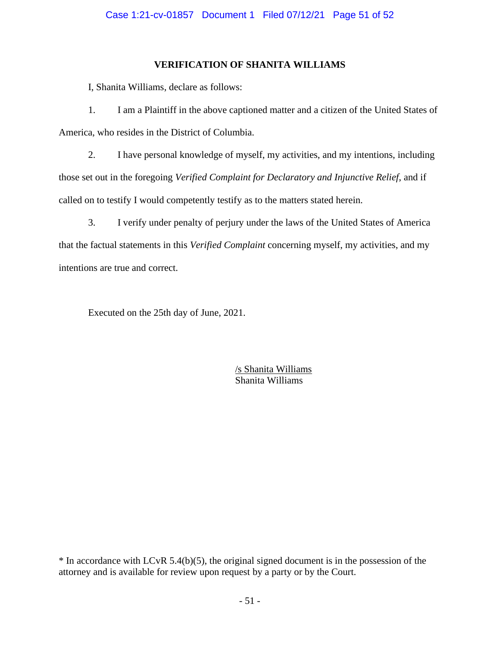# **VERIFICATION OF SHANITA WILLIAMS**

I, Shanita Williams, declare as follows:

1. I am a Plaintiff in the above captioned matter and a citizen of the United States of America, who resides in the District of Columbia.

2. I have personal knowledge of myself, my activities, and my intentions, including those set out in the foregoing *Verified Complaint for Declaratory and Injunctive Relief*, and if called on to testify I would competently testify as to the matters stated herein.

3. I verify under penalty of perjury under the laws of the United States of America that the factual statements in this *Verified Complaint* concerning myself, my activities, and my intentions are true and correct.

Executed on the 25th day of June, 2021.

/s Shanita Williams Shanita Williams

\* In accordance with LCvR 5.4(b)(5), the original signed document is in the possession of the attorney and is available for review upon request by a party or by the Court.